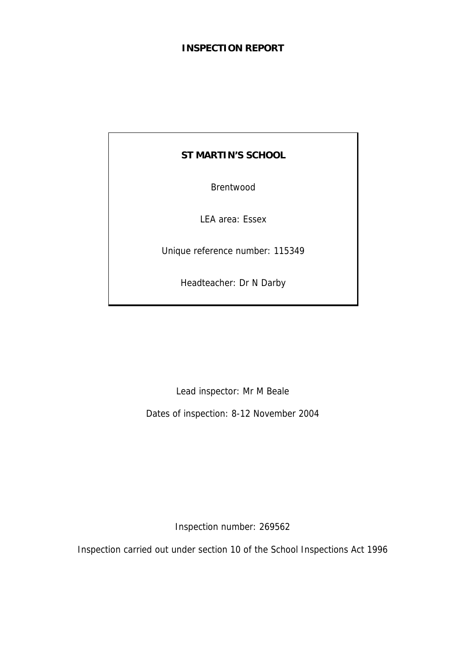# **INSPECTION REPORT**

# **ST MARTIN'S SCHOOL**

Brentwood

LEA area: Essex

Unique reference number: 115349

Headteacher: Dr N Darby

Lead inspector: Mr M Beale

Dates of inspection: 8-12 November 2004

Inspection number: 269562

Inspection carried out under section 10 of the School Inspections Act 1996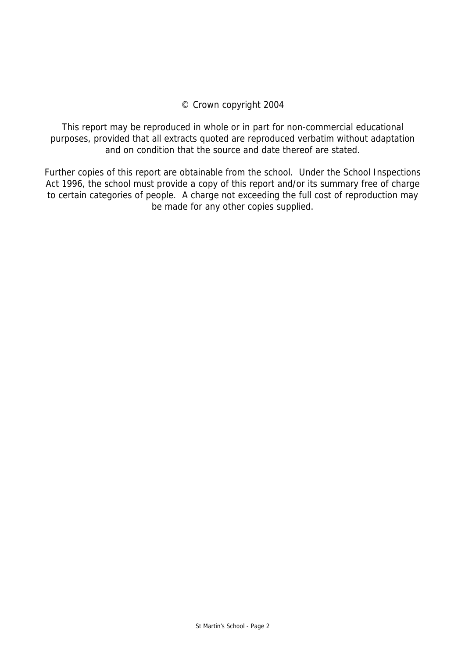# © Crown copyright 2004

This report may be reproduced in whole or in part for non-commercial educational purposes, provided that all extracts quoted are reproduced verbatim without adaptation and on condition that the source and date thereof are stated.

Further copies of this report are obtainable from the school. Under the School Inspections Act 1996, the school must provide a copy of this report and/or its summary free of charge to certain categories of people. A charge not exceeding the full cost of reproduction may be made for any other copies supplied.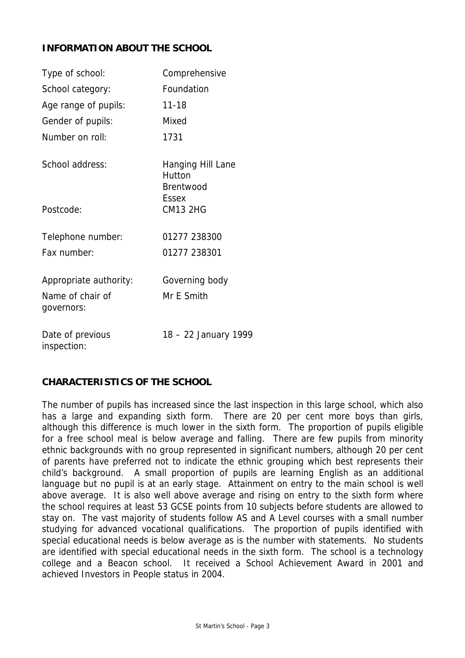# **INFORMATION ABOUT THE SCHOOL**

| Type of school:                 | Comprehensive                                   |
|---------------------------------|-------------------------------------------------|
| School category:                | Foundation                                      |
| Age range of pupils:            | $11 - 18$                                       |
| Gender of pupils:               | Mixed                                           |
| Number on roll:                 | 1731                                            |
| School address:                 | Hanging Hill Lane<br>Hutton<br><b>Brentwood</b> |
| Postcode:                       | <b>Fssex</b><br><b>CM13 2HG</b>                 |
| Telephone number:               | 01277 238300                                    |
| Fax number:                     | 01277 238301                                    |
| Appropriate authority:          | Governing body                                  |
| Name of chair of<br>governors:  | Mr E Smith                                      |
| Date of previous<br>inspection: | 18 - 22 January 1999                            |

# **CHARACTERISTICS OF THE SCHOOL**

The number of pupils has increased since the last inspection in this large school, which also has a large and expanding sixth form. There are 20 per cent more boys than girls, although this difference is much lower in the sixth form. The proportion of pupils eligible for a free school meal is below average and falling. There are few pupils from minority ethnic backgrounds with no group represented in significant numbers, although 20 per cent of parents have preferred not to indicate the ethnic grouping which best represents their child's background. A small proportion of pupils are learning English as an additional language but no pupil is at an early stage. Attainment on entry to the main school is well above average. It is also well above average and rising on entry to the sixth form where the school requires at least 53 GCSE points from 10 subjects before students are allowed to stay on. The vast majority of students follow AS and A Level courses with a small number studying for advanced vocational qualifications. The proportion of pupils identified with special educational needs is below average as is the number with statements. No students are identified with special educational needs in the sixth form. The school is a technology college and a Beacon school. It received a School Achievement Award in 2001 and achieved Investors in People status in 2004.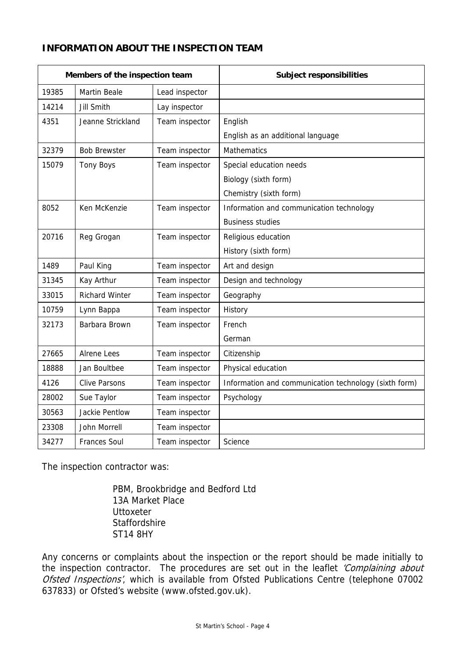# **INFORMATION ABOUT THE INSPECTION TEAM**

| Members of the inspection team |                       |                | <b>Subject responsibilities</b>                       |
|--------------------------------|-----------------------|----------------|-------------------------------------------------------|
| 19385                          | <b>Martin Beale</b>   | Lead inspector |                                                       |
| 14214                          | <b>Jill Smith</b>     | Lay inspector  |                                                       |
| 4351                           | Jeanne Strickland     | Team inspector | English                                               |
|                                |                       |                | English as an additional language                     |
| 32379                          | <b>Bob Brewster</b>   | Team inspector | <b>Mathematics</b>                                    |
| 15079                          | <b>Tony Boys</b>      | Team inspector | Special education needs                               |
|                                |                       |                | Biology (sixth form)                                  |
|                                |                       |                | Chemistry (sixth form)                                |
| 8052                           | Ken McKenzie          | Team inspector | Information and communication technology              |
|                                |                       |                | <b>Business studies</b>                               |
| 20716                          | Reg Grogan            | Team inspector | Religious education                                   |
|                                |                       |                | History (sixth form)                                  |
| 1489                           | Paul King             | Team inspector | Art and design                                        |
| 31345                          | Kay Arthur            | Team inspector | Design and technology                                 |
| 33015                          | <b>Richard Winter</b> | Team inspector | Geography                                             |
| 10759                          | Lynn Bappa            | Team inspector | History                                               |
| 32173                          | Barbara Brown         | Team inspector | French                                                |
|                                |                       |                | German                                                |
| 27665                          | Alrene Lees           | Team inspector | Citizenship                                           |
| 18888                          | Jan Boultbee          | Team inspector | Physical education                                    |
| 4126                           | <b>Clive Parsons</b>  | Team inspector | Information and communication technology (sixth form) |
| 28002                          | Sue Taylor            | Team inspector | Psychology                                            |
| 30563                          | Jackie Pentlow        | Team inspector |                                                       |
| 23308                          | John Morrell          | Team inspector |                                                       |
| 34277                          | <b>Frances Soul</b>   | Team inspector | Science                                               |

The inspection contractor was:

 PBM, Brookbridge and Bedford Ltd 13A Market Place **Uttoxeter Staffordshire** ST14 8HY

Any concerns or complaints about the inspection or the report should be made initially to the inspection contractor. The procedures are set out in the leaflet 'Complaining about Ofsted Inspections', which is available from Ofsted Publications Centre (telephone 07002 637833) or Ofsted's website (www.ofsted.gov.uk).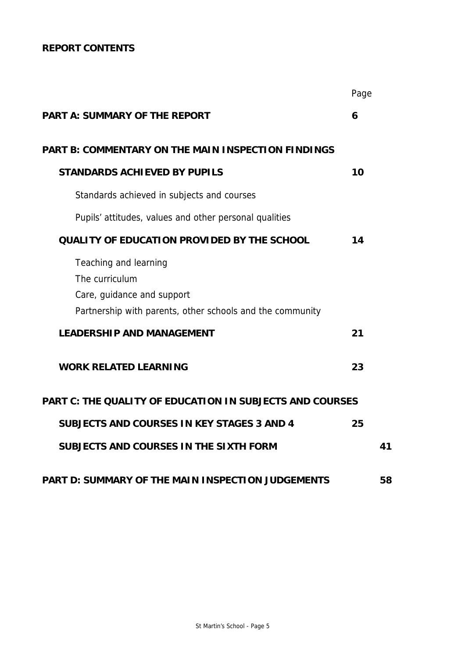# **REPORT CONTENTS**

|                                                                                                                                    | Page |    |  |  |  |  |
|------------------------------------------------------------------------------------------------------------------------------------|------|----|--|--|--|--|
| <b>PART A: SUMMARY OF THE REPORT</b>                                                                                               |      |    |  |  |  |  |
| PART B: COMMENTARY ON THE MAIN INSPECTION FINDINGS                                                                                 |      |    |  |  |  |  |
| <b>STANDARDS ACHIEVED BY PUPILS</b>                                                                                                | 10   |    |  |  |  |  |
| Standards achieved in subjects and courses                                                                                         |      |    |  |  |  |  |
| Pupils' attitudes, values and other personal qualities                                                                             |      |    |  |  |  |  |
| <b>QUALITY OF EDUCATION PROVIDED BY THE SCHOOL</b>                                                                                 | 14   |    |  |  |  |  |
| Teaching and learning<br>The curriculum<br>Care, guidance and support<br>Partnership with parents, other schools and the community |      |    |  |  |  |  |
| <b>LEADERSHIP AND MANAGEMENT</b>                                                                                                   | 21   |    |  |  |  |  |
| <b>WORK RELATED LEARNING</b>                                                                                                       | 23   |    |  |  |  |  |
| <b>PART C: THE QUALITY OF EDUCATION IN SUBJECTS AND COURSES</b>                                                                    |      |    |  |  |  |  |
| <b>SUBJECTS AND COURSES IN KEY STAGES 3 AND 4</b>                                                                                  | 25   |    |  |  |  |  |
| SUBJECTS AND COURSES IN THE SIXTH FORM                                                                                             |      | 41 |  |  |  |  |
| PART D: SUMMARY OF THE MAIN INSPECTION JUDGEMENTS                                                                                  |      | 58 |  |  |  |  |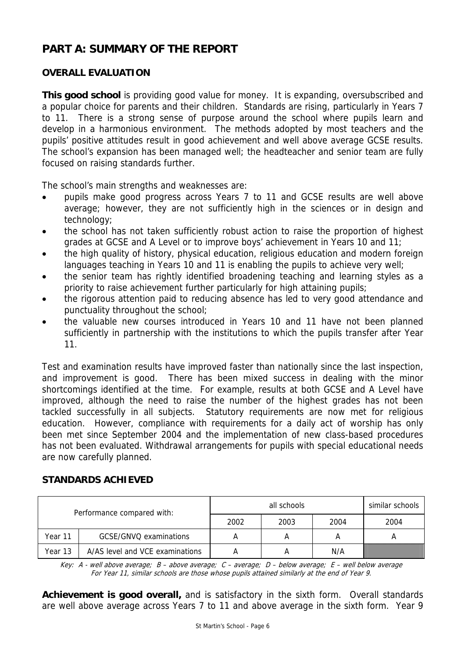# **PART A: SUMMARY OF THE REPORT**

# **OVERALL EVALUATION**

**This good school** is providing good value for money.It is expanding, oversubscribed and a popular choice for parents and their children. Standards are rising, particularly in Years 7 to 11. There is a strong sense of purpose around the school where pupils learn and develop in a harmonious environment. The methods adopted by most teachers and the pupils' positive attitudes result in good achievement and well above average GCSE results. The school's expansion has been managed well; the headteacher and senior team are fully focused on raising standards further.

The school's main strengths and weaknesses are:

- pupils make good progress across Years 7 to 11 and GCSE results are well above average; however, they are not sufficiently high in the sciences or in design and technology;
- the school has not taken sufficiently robust action to raise the proportion of highest grades at GCSE and A Level or to improve boys' achievement in Years 10 and 11;
- the high quality of history, physical education, religious education and modern foreign languages teaching in Years 10 and 11 is enabling the pupils to achieve very well;
- the senior team has rightly identified broadening teaching and learning styles as a priority to raise achievement further particularly for high attaining pupils;
- the rigorous attention paid to reducing absence has led to very good attendance and punctuality throughout the school;
- the valuable new courses introduced in Years 10 and 11 have not been planned sufficiently in partnership with the institutions to which the pupils transfer after Year 11.

Test and examination results have improved faster than nationally since the last inspection, and improvement is good. There has been mixed success in dealing with the minor shortcomings identified at the time. For example, results at both GCSE and A Level have improved, although the need to raise the number of the highest grades has not been tackled successfully in all subjects. Statutory requirements are now met for religious education. However, compliance with requirements for a daily act of worship has only been met since September 2004 and the implementation of new class-based procedures has not been evaluated. Withdrawal arrangements for pupils with special educational needs are now carefully planned.

# **STANDARDS ACHIEVED**

| Performance compared with: |                                 |      | similar schools |      |      |
|----------------------------|---------------------------------|------|-----------------|------|------|
|                            |                                 | 2002 | 2003            | 2004 | 2004 |
| Year 11                    | GCSE/GNVQ examinations          | А    |                 |      |      |
| Year 13                    | A/AS level and VCE examinations |      |                 | N/A  |      |

Key: A - well above average; B – above average; C – average; D – below average; E – well below average For Year 11, similar schools are those whose pupils attained similarly at the end of Year 9.

**Achievement is good overall,** and is satisfactory in the sixth form. Overall standards are well above average across Years 7 to 11 and above average in the sixth form. Year 9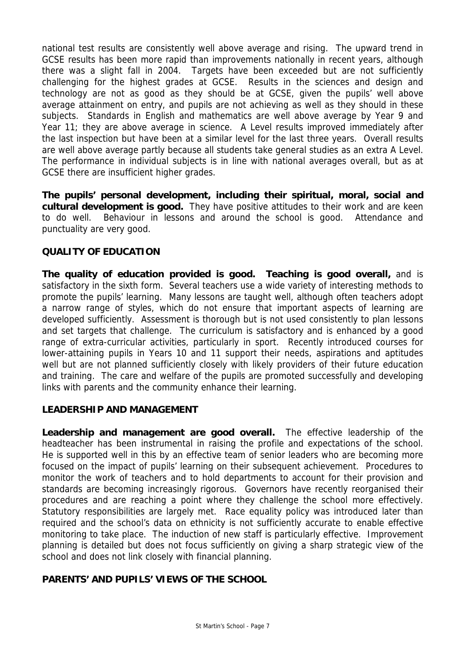national test results are consistently well above average and rising. The upward trend in GCSE results has been more rapid than improvements nationally in recent years, although there was a slight fall in 2004. Targets have been exceeded but are not sufficiently challenging for the highest grades at GCSE. Results in the sciences and design and technology are not as good as they should be at GCSE, given the pupils' well above average attainment on entry, and pupils are not achieving as well as they should in these subjects. Standards in English and mathematics are well above average by Year 9 and Year 11; they are above average in science. A Level results improved immediately after the last inspection but have been at a similar level for the last three years. Overall results are well above average partly because all students take general studies as an extra A Level. The performance in individual subjects is in line with national averages overall, but as at GCSE there are insufficient higher grades.

**The pupils' personal development, including their spiritual, moral, social and cultural development is good.** They have positive attitudes to their work and are keen to do well. Behaviour in lessons and around the school is good. Attendance and punctuality are very good.

# **QUALITY OF EDUCATION**

**The quality of education provided is good. Teaching is good overall,** and is satisfactory in the sixth form. Several teachers use a wide variety of interesting methods to promote the pupils' learning. Many lessons are taught well, although often teachers adopt a narrow range of styles, which do not ensure that important aspects of learning are developed sufficiently. Assessment is thorough but is not used consistently to plan lessons and set targets that challenge. The curriculum is satisfactory and is enhanced by a good range of extra-curricular activities, particularly in sport. Recently introduced courses for lower-attaining pupils in Years 10 and 11 support their needs, aspirations and aptitudes well but are not planned sufficiently closely with likely providers of their future education and training. The care and welfare of the pupils are promoted successfully and developing links with parents and the community enhance their learning.

# **LEADERSHIP AND MANAGEMENT**

**Leadership and management are good overall.** The effective leadership of the headteacher has been instrumental in raising the profile and expectations of the school. He is supported well in this by an effective team of senior leaders who are becoming more focused on the impact of pupils' learning on their subsequent achievement. Procedures to monitor the work of teachers and to hold departments to account for their provision and standards are becoming increasingly rigorous. Governors have recently reorganised their procedures and are reaching a point where they challenge the school more effectively. Statutory responsibilities are largely met. Race equality policy was introduced later than required and the school's data on ethnicity is not sufficiently accurate to enable effective monitoring to take place. The induction of new staff is particularly effective. Improvement planning is detailed but does not focus sufficiently on giving a sharp strategic view of the school and does not link closely with financial planning.

# **PARENTS' AND PUPILS' VIEWS OF THE SCHOOL**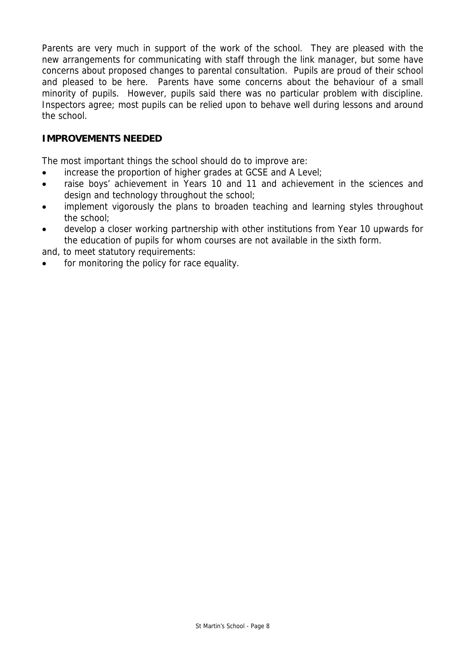Parents are very much in support of the work of the school. They are pleased with the new arrangements for communicating with staff through the link manager, but some have concerns about proposed changes to parental consultation. Pupils are proud of their school and pleased to be here. Parents have some concerns about the behaviour of a small minority of pupils. However, pupils said there was no particular problem with discipline. Inspectors agree; most pupils can be relied upon to behave well during lessons and around the school.

# **IMPROVEMENTS NEEDED**

The most important things the school should do to improve are:

- increase the proportion of higher grades at GCSE and A Level;
- raise boys' achievement in Years 10 and 11 and achievement in the sciences and design and technology throughout the school;
- implement vigorously the plans to broaden teaching and learning styles throughout the school;
- develop a closer working partnership with other institutions from Year 10 upwards for the education of pupils for whom courses are not available in the sixth form.

and, to meet statutory requirements:

for monitoring the policy for race equality.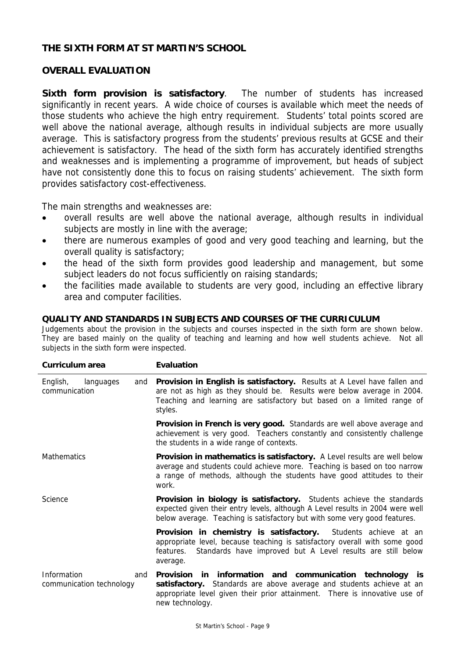# **THE SIXTH FORM AT ST MARTIN'S SCHOOL**

# **OVERALL EVALUATION**

**Sixth form provision is satisfactory**. The number of students has increased significantly in recent years. A wide choice of courses is available which meet the needs of those students who achieve the high entry requirement. Students' total points scored are well above the national average, although results in individual subjects are more usually average. This is satisfactory progress from the students' previous results at GCSE and their achievement is satisfactory. The head of the sixth form has accurately identified strengths and weaknesses and is implementing a programme of improvement, but heads of subject have not consistently done this to focus on raising students' achievement. The sixth form provides satisfactory cost-effectiveness.

The main strengths and weaknesses are:

- overall results are well above the national average, although results in individual subjects are mostly in line with the average;
- there are numerous examples of good and very good teaching and learning, but the overall quality is satisfactory;
- the head of the sixth form provides good leadership and management, but some subject leaders do not focus sufficiently on raising standards;
- the facilities made available to students are very good, including an effective library area and computer facilities.

#### **QUALITY AND STANDARDS IN SUBJECTS AND COURSES OF THE CURRICULUM**

Judgements about the provision in the subjects and courses inspected in the sixth form are shown below. They are based mainly on the quality of teaching and learning and how well students achieve. Not all subjects in the sixth form were inspected.

| Curriculum area                                | <b>Evaluation</b>                                                                                                                                                                                                                              |
|------------------------------------------------|------------------------------------------------------------------------------------------------------------------------------------------------------------------------------------------------------------------------------------------------|
| English,<br>languages<br>and<br>communication  | <b>Provision in English is satisfactory.</b> Results at A Level have fallen and<br>are not as high as they should be. Results were below average in 2004.<br>Teaching and learning are satisfactory but based on a limited range of<br>styles. |
|                                                | Provision in French is very good. Standards are well above average and<br>achievement is very good. Teachers constantly and consistently challenge<br>the students in a wide range of contexts.                                                |
| <b>Mathematics</b>                             | <b>Provision in mathematics is satisfactory.</b> A Level results are well below<br>average and students could achieve more. Teaching is based on too narrow<br>a range of methods, although the students have good attitudes to their<br>work. |
| Science                                        | Provision in biology is satisfactory. Students achieve the standards<br>expected given their entry levels, although A Level results in 2004 were well<br>below average. Teaching is satisfactory but with some very good features.             |
|                                                | Provision in chemistry is satisfactory. Students achieve at an<br>appropriate level, because teaching is satisfactory overall with some good<br>Standards have improved but A Level results are still below<br>features.<br>average.           |
| Information<br>and<br>communication technology | Provision in information and communication technology is<br>satisfactory. Standards are above average and students achieve at an<br>appropriate level given their prior attainment. There is innovative use of<br>new technology.              |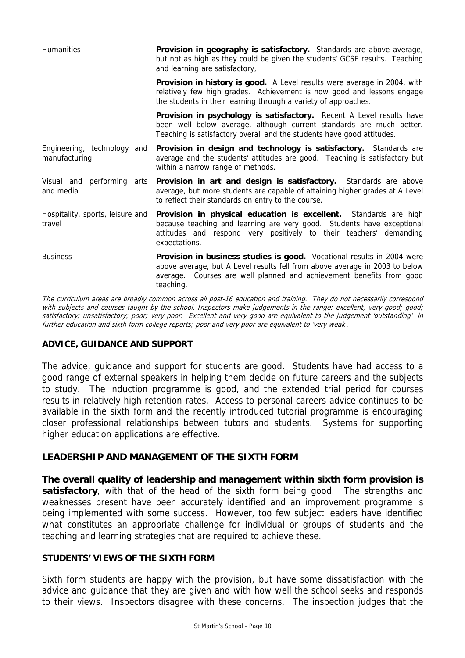| Humanities                                   | Provision in geography is satisfactory. Standards are above average,<br>but not as high as they could be given the students' GCSE results. Teaching<br>and learning are satisfactory,                                                      |
|----------------------------------------------|--------------------------------------------------------------------------------------------------------------------------------------------------------------------------------------------------------------------------------------------|
|                                              | Provision in history is good. A Level results were average in 2004, with<br>relatively few high grades. Achievement is now good and lessons engage<br>the students in their learning through a variety of approaches.                      |
|                                              | <b>Provision in psychology is satisfactory.</b> Recent A Level results have<br>been well below average, although current standards are much better.<br>Teaching is satisfactory overall and the students have good attitudes.              |
| Engineering, technology and<br>manufacturing | Provision in design and technology is satisfactory. Standards are<br>average and the students' attitudes are good. Teaching is satisfactory but<br>within a narrow range of methods.                                                       |
| Visual and performing arts<br>and media      | Provision in art and design is satisfactory. Standards are above<br>average, but more students are capable of attaining higher grades at A Level<br>to reflect their standards on entry to the course.                                     |
| Hospitality, sports, leisure and<br>travel   | <b>Provision in physical education is excellent.</b> Standards are high<br>because teaching and learning are very good. Students have exceptional<br>attitudes and respond very positively to their teachers' demanding<br>expectations.   |
| <b>Business</b>                              | Provision in business studies is good. Vocational results in 2004 were<br>above average, but A Level results fell from above average in 2003 to below<br>average. Courses are well planned and achievement benefits from good<br>teaching. |

The curriculum areas are broadly common across all post-16 education and training. They do not necessarily correspond with subjects and courses taught by the school. Inspectors make judgements in the range: excellent; very good; good; satisfactory; unsatisfactory; poor; very poor. Excellent and very good are equivalent to the judgement 'outstanding' in further education and sixth form college reports; poor and very poor are equivalent to 'very weak'.

# **ADVICE, GUIDANCE AND SUPPORT**

The advice, guidance and support for students are good. Students have had access to a good range of external speakers in helping them decide on future careers and the subjects to study. The induction programme is good, and the extended trial period for courses results in relatively high retention rates. Access to personal careers advice continues to be available in the sixth form and the recently introduced tutorial programme is encouraging closer professional relationships between tutors and students. Systems for supporting higher education applications are effective.

# **LEADERSHIP AND MANAGEMENT OF THE SIXTH FORM**

**The overall quality of leadership and management within sixth form provision is satisfactory**, with that of the head of the sixth form being good. The strengths and weaknesses present have been accurately identified and an improvement programme is being implemented with some success. However, too few subject leaders have identified what constitutes an appropriate challenge for individual or groups of students and the teaching and learning strategies that are required to achieve these.

# **STUDENTS' VIEWS OF THE SIXTH FORM**

Sixth form students are happy with the provision, but have some dissatisfaction with the advice and guidance that they are given and with how well the school seeks and responds to their views. Inspectors disagree with these concerns. The inspection judges that the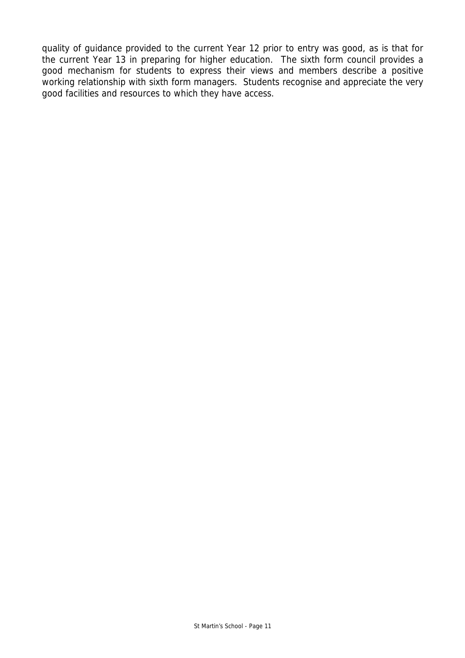quality of guidance provided to the current Year 12 prior to entry was good, as is that for the current Year 13 in preparing for higher education. The sixth form council provides a good mechanism for students to express their views and members describe a positive working relationship with sixth form managers. Students recognise and appreciate the very good facilities and resources to which they have access.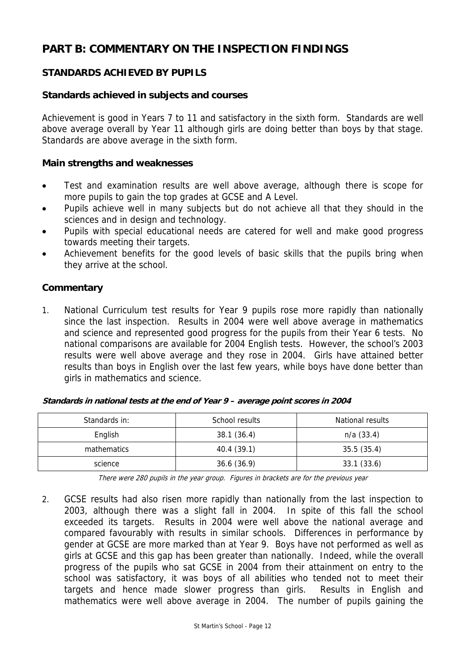# **PART B: COMMENTARY ON THE INSPECTION FINDINGS**

# **STANDARDS ACHIEVED BY PUPILS**

# **Standards achieved in subjects and courses**

Achievement is good in Years 7 to 11 and satisfactory in the sixth form. Standards are well above average overall by Year 11 although girls are doing better than boys by that stage. Standards are above average in the sixth form.

# **Main strengths and weaknesses**

- Test and examination results are well above average, although there is scope for more pupils to gain the top grades at GCSE and A Level.
- Pupils achieve well in many subjects but do not achieve all that they should in the sciences and in design and technology.
- Pupils with special educational needs are catered for well and make good progress towards meeting their targets.
- Achievement benefits for the good levels of basic skills that the pupils bring when they arrive at the school.

# **Commentary**

1. National Curriculum test results for Year 9 pupils rose more rapidly than nationally since the last inspection. Results in 2004 were well above average in mathematics and science and represented good progress for the pupils from their Year 6 tests. No national comparisons are available for 2004 English tests. However, the school's 2003 results were well above average and they rose in 2004. Girls have attained better results than boys in English over the last few years, while boys have done better than girls in mathematics and science.

| Standards in: | School results | National results |
|---------------|----------------|------------------|
| English       | 38.1(36.4)     | $n/a$ (33.4)     |
| mathematics   | 40.4(39.1)     | 35.5(35.4)       |
| science       | 36.6(36.9)     | 33.1(33.6)       |

**Standards in national tests at the end of Year 9 – average point scores in 2004** 

There were 280 pupils in the year group. Figures in brackets are for the previous year

2. GCSE results had also risen more rapidly than nationally from the last inspection to 2003, although there was a slight fall in 2004. In spite of this fall the school exceeded its targets. Results in 2004 were well above the national average and compared favourably with results in similar schools. Differences in performance by gender at GCSE are more marked than at Year 9. Boys have not performed as well as girls at GCSE and this gap has been greater than nationally. Indeed, while the overall progress of the pupils who sat GCSE in 2004 from their attainment on entry to the school was satisfactory, it was boys of all abilities who tended not to meet their targets and hence made slower progress than girls. Results in English and mathematics were well above average in 2004. The number of pupils gaining the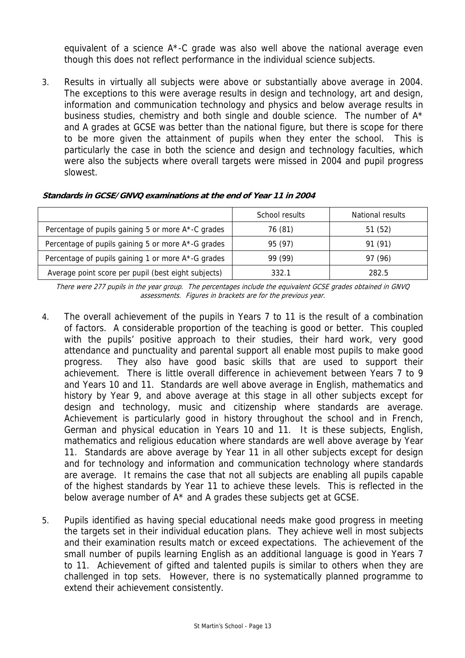equivalent of a science  $A^*$ -C grade was also well above the national average even though this does not reflect performance in the individual science subjects.

3. Results in virtually all subjects were above or substantially above average in 2004. The exceptions to this were average results in design and technology, art and design, information and communication technology and physics and below average results in business studies, chemistry and both single and double science. The number of A\* and A grades at GCSE was better than the national figure, but there is scope for there to be more given the attainment of pupils when they enter the school. This is particularly the case in both the science and design and technology faculties, which were also the subjects where overall targets were missed in 2004 and pupil progress slowest.

|                                                     | School results | National results |
|-----------------------------------------------------|----------------|------------------|
| Percentage of pupils gaining 5 or more A*-C grades  | 76 (81)        | 51(52)           |
| Percentage of pupils gaining 5 or more A*-G grades  | 95 (97)        | 91 (91)          |
| Percentage of pupils gaining 1 or more A*-G grades  | 99 (99)        | 97 (96)          |
| Average point score per pupil (best eight subjects) | 332.1          | 282.5            |

#### **Standards in GCSE/GNVQ examinations at the end of Year 11 in 2004**

There were 277 pupils in the year group. The percentages include the equivalent GCSE grades obtained in GNVQ assessments. Figures in brackets are for the previous year.

- 4. The overall achievement of the pupils in Years 7 to 11 is the result of a combination of factors. A considerable proportion of the teaching is good or better. This coupled with the pupils' positive approach to their studies, their hard work, very good attendance and punctuality and parental support all enable most pupils to make good progress. They also have good basic skills that are used to support their achievement. There is little overall difference in achievement between Years 7 to 9 and Years 10 and 11. Standards are well above average in English, mathematics and history by Year 9, and above average at this stage in all other subjects except for design and technology, music and citizenship where standards are average. Achievement is particularly good in history throughout the school and in French, German and physical education in Years 10 and 11. It is these subjects, English, mathematics and religious education where standards are well above average by Year 11. Standards are above average by Year 11 in all other subjects except for design and for technology and information and communication technology where standards are average. It remains the case that not all subjects are enabling all pupils capable of the highest standards by Year 11 to achieve these levels. This is reflected in the below average number of A\* and A grades these subjects get at GCSE.
- 5. Pupils identified as having special educational needs make good progress in meeting the targets set in their individual education plans. They achieve well in most subjects and their examination results match or exceed expectations. The achievement of the small number of pupils learning English as an additional language is good in Years 7 to 11. Achievement of gifted and talented pupils is similar to others when they are challenged in top sets. However, there is no systematically planned programme to extend their achievement consistently.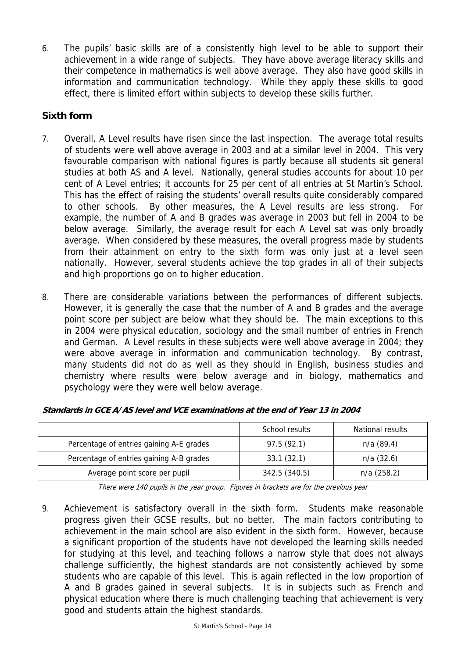6. The pupils' basic skills are of a consistently high level to be able to support their achievement in a wide range of subjects. They have above average literacy skills and their competence in mathematics is well above average. They also have good skills in information and communication technology. While they apply these skills to good effect, there is limited effort within subjects to develop these skills further.

# **Sixth form**

- 7. Overall, A Level results have risen since the last inspection. The average total results of students were well above average in 2003 and at a similar level in 2004. This very favourable comparison with national figures is partly because all students sit general studies at both AS and A level. Nationally, general studies accounts for about 10 per cent of A Level entries; it accounts for 25 per cent of all entries at St Martin's School. This has the effect of raising the students' overall results quite considerably compared to other schools. By other measures, the A Level results are less strong. For example, the number of A and B grades was average in 2003 but fell in 2004 to be below average. Similarly, the average result for each A Level sat was only broadly average. When considered by these measures, the overall progress made by students from their attainment on entry to the sixth form was only just at a level seen nationally. However, several students achieve the top grades in all of their subjects and high proportions go on to higher education.
- 8. There are considerable variations between the performances of different subjects. However, it is generally the case that the number of A and B grades and the average point score per subject are below what they should be. The main exceptions to this in 2004 were physical education, sociology and the small number of entries in French and German. A Level results in these subjects were well above average in 2004; they were above average in information and communication technology. By contrast, many students did not do as well as they should in English, business studies and chemistry where results were below average and in biology, mathematics and psychology were they were well below average.

|                                          | School results | National results |
|------------------------------------------|----------------|------------------|
| Percentage of entries gaining A-E grades | 97.5 (92.1)    | $n/a$ (89.4)     |
| Percentage of entries gaining A-B grades | 33.1(32.1)     | $n/a$ (32.6)     |
| Average point score per pupil            | 342.5 (340.5)  | $n/a$ (258.2)    |

|  | Standards in GCE A/AS level and VCE examinations at the end of Year 13 in 2004 |  |  |
|--|--------------------------------------------------------------------------------|--|--|
|  |                                                                                |  |  |

There were 140 pupils in the year group. Figures in brackets are for the previous year

9. Achievement is satisfactory overall in the sixth form. Students make reasonable progress given their GCSE results, but no better. The main factors contributing to achievement in the main school are also evident in the sixth form. However, because a significant proportion of the students have not developed the learning skills needed for studying at this level, and teaching follows a narrow style that does not always challenge sufficiently, the highest standards are not consistently achieved by some students who are capable of this level. This is again reflected in the low proportion of A and B grades gained in several subjects. It is in subjects such as French and physical education where there is much challenging teaching that achievement is very good and students attain the highest standards.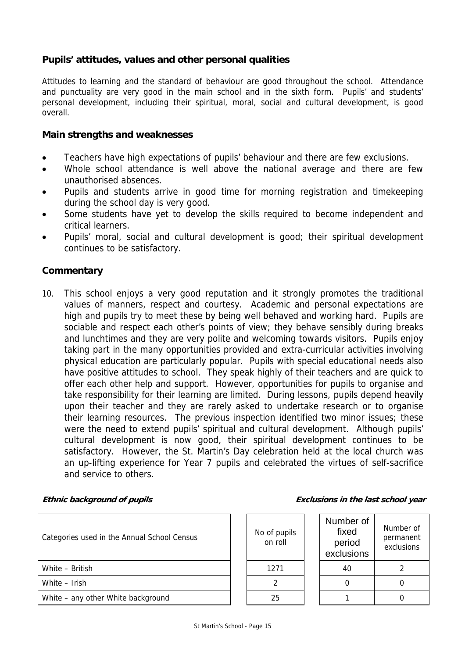# **Pupils' attitudes, values and other personal qualities**

Attitudes to learning and the standard of behaviour are good throughout the school. Attendance and punctuality are very good in the main school and in the sixth form. Pupils' and students' personal development, including their spiritual, moral, social and cultural development, is good overall.

#### **Main strengths and weaknesses**

- Teachers have high expectations of pupils' behaviour and there are few exclusions.
- Whole school attendance is well above the national average and there are few unauthorised absences.
- Pupils and students arrive in good time for morning registration and timekeeping during the school day is very good.
- Some students have yet to develop the skills required to become independent and critical learners.
- Pupils' moral, social and cultural development is good; their spiritual development continues to be satisfactory.

# **Commentary**

10. This school enjoys a very good reputation and it strongly promotes the traditional values of manners, respect and courtesy. Academic and personal expectations are high and pupils try to meet these by being well behaved and working hard. Pupils are sociable and respect each other's points of view; they behave sensibly during breaks and lunchtimes and they are very polite and welcoming towards visitors. Pupils enjoy taking part in the many opportunities provided and extra-curricular activities involving physical education are particularly popular. Pupils with special educational needs also have positive attitudes to school. They speak highly of their teachers and are quick to offer each other help and support. However, opportunities for pupils to organise and take responsibility for their learning are limited. During lessons, pupils depend heavily upon their teacher and they are rarely asked to undertake research or to organise their learning resources. The previous inspection identified two minor issues; these were the need to extend pupils' spiritual and cultural development. Although pupils' cultural development is now good, their spiritual development continues to be satisfactory. However, the St. Martin's Day celebration held at the local church was an up-lifting experience for Year 7 pupils and celebrated the virtues of self-sacrifice and service to others.

#### **Ethnic background of pupils**

| Categories used in the Annual School Census |  | No of pupils<br>on roll |  | Number of<br>fixed<br>period<br>exclusions | Numbe<br>perma<br>exclus |
|---------------------------------------------|--|-------------------------|--|--------------------------------------------|--------------------------|
| White - British                             |  | 1271                    |  | 40                                         | $\mathcal{P}$            |
| White - Irish                               |  |                         |  |                                            | 0                        |
| White – any other White background          |  | 25                      |  |                                            | 0                        |

|  |  |  |  | Exclusions in the last school year |  |
|--|--|--|--|------------------------------------|--|
|  |  |  |  |                                    |  |

| of pupils<br>on roll | Number of<br>fixed<br>period<br>exclusions | Number of<br>permanent<br>exclusions |
|----------------------|--------------------------------------------|--------------------------------------|
| 1271                 | 40                                         |                                      |
|                      |                                            |                                      |
| 25                   |                                            |                                      |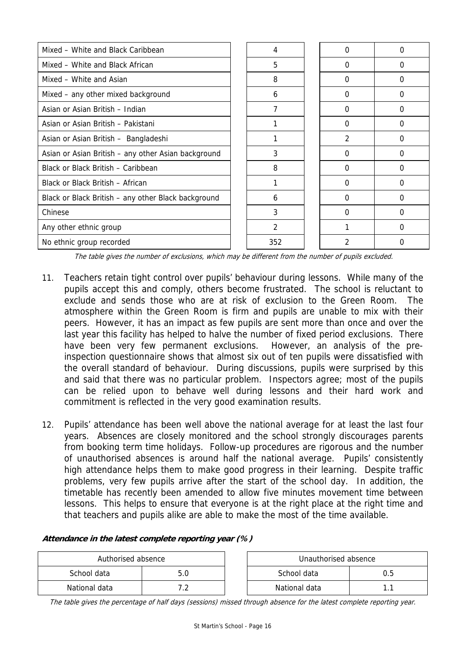| Mixed - White and Black Caribbean                   | 4             |                | Ω |
|-----------------------------------------------------|---------------|----------------|---|
| Mixed - White and Black African                     | 5             | 0              | 0 |
| Mixed - White and Asian                             | 8             | 0              | 0 |
| Mixed – any other mixed background                  | 6             | $\Omega$       | 0 |
| Asian or Asian British - Indian                     | 7             | $\Omega$       | 0 |
| Asian or Asian British - Pakistani                  |               | 0              | 0 |
| Asian or Asian British - Bangladeshi                |               | $\mathfrak{D}$ | 0 |
| Asian or Asian British - any other Asian background | 3             | $\Omega$       | 0 |
| Black or Black British - Caribbean                  | 8             | 0              | 0 |
| Black or Black British - African                    |               | 0              | 0 |
| Black or Black British - any other Black background | 6             | 0              | 0 |
| Chinese                                             | 3             | 0              | 0 |
| Any other ethnic group                              | $\mathcal{P}$ |                | 0 |
| No ethnic group recorded                            | 352           |                | 0 |

The table gives the number of exclusions, which may be different from the number of pupils excluded.

- 11. Teachers retain tight control over pupils' behaviour during lessons. While many of the pupils accept this and comply, others become frustrated. The school is reluctant to exclude and sends those who are at risk of exclusion to the Green Room. The atmosphere within the Green Room is firm and pupils are unable to mix with their peers. However, it has an impact as few pupils are sent more than once and over the last year this facility has helped to halve the number of fixed period exclusions. There have been very few permanent exclusions. However, an analysis of the preinspection questionnaire shows that almost six out of ten pupils were dissatisfied with the overall standard of behaviour. During discussions, pupils were surprised by this and said that there was no particular problem. Inspectors agree; most of the pupils can be relied upon to behave well during lessons and their hard work and commitment is reflected in the very good examination results.
- 12. Pupils' attendance has been well above the national average for at least the last four years. Absences are closely monitored and the school strongly discourages parents from booking term time holidays. Follow-up procedures are rigorous and the number of unauthorised absences is around half the national average. Pupils' consistently high attendance helps them to make good progress in their learning. Despite traffic problems, very few pupils arrive after the start of the school day. In addition, the timetable has recently been amended to allow five minutes movement time between lessons. This helps to ensure that everyone is at the right place at the right time and that teachers and pupils alike are able to make the most of the time available.

| Authorised absence |  |  | Unauthorised absence |  |
|--------------------|--|--|----------------------|--|
| School data        |  |  | School data          |  |
| National data      |  |  | National data        |  |

#### **Attendance in the latest complete reporting year (%)**

The table gives the percentage of half days (sessions) missed through absence for the latest complete reporting year.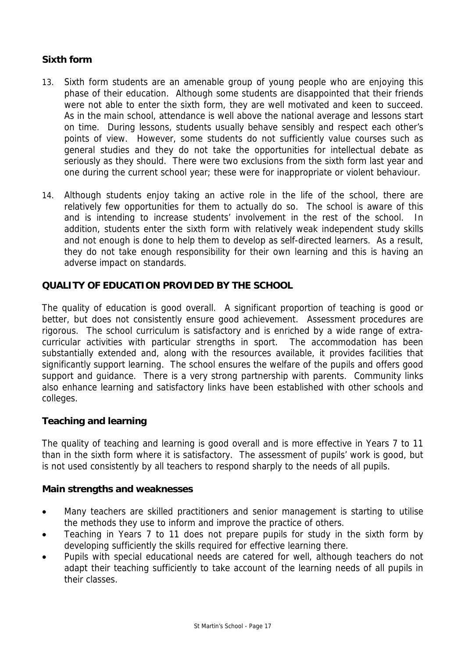# **Sixth form**

- 13. Sixth form students are an amenable group of young people who are enjoying this phase of their education. Although some students are disappointed that their friends were not able to enter the sixth form, they are well motivated and keen to succeed. As in the main school, attendance is well above the national average and lessons start on time. During lessons, students usually behave sensibly and respect each other's points of view. However, some students do not sufficiently value courses such as general studies and they do not take the opportunities for intellectual debate as seriously as they should. There were two exclusions from the sixth form last year and one during the current school year; these were for inappropriate or violent behaviour.
- 14. Although students enjoy taking an active role in the life of the school, there are relatively few opportunities for them to actually do so. The school is aware of this and is intending to increase students' involvement in the rest of the school. In addition, students enter the sixth form with relatively weak independent study skills and not enough is done to help them to develop as self-directed learners. As a result, they do not take enough responsibility for their own learning and this is having an adverse impact on standards.

# **QUALITY OF EDUCATION PROVIDED BY THE SCHOOL**

The quality of education is good overall. A significant proportion of teaching is good or better, but does not consistently ensure good achievement. Assessment procedures are rigorous. The school curriculum is satisfactory and is enriched by a wide range of extracurricular activities with particular strengths in sport. The accommodation has been substantially extended and, along with the resources available, it provides facilities that significantly support learning. The school ensures the welfare of the pupils and offers good support and guidance. There is a very strong partnership with parents. Community links also enhance learning and satisfactory links have been established with other schools and colleges.

# **Teaching and learning**

The quality of teaching and learning is good overall and is more effective in Years 7 to 11 than in the sixth form where it is satisfactory. The assessment of pupils' work is good, but is not used consistently by all teachers to respond sharply to the needs of all pupils.

# **Main strengths and weaknesses**

- Many teachers are skilled practitioners and senior management is starting to utilise the methods they use to inform and improve the practice of others.
- Teaching in Years 7 to 11 does not prepare pupils for study in the sixth form by developing sufficiently the skills required for effective learning there.
- Pupils with special educational needs are catered for well, although teachers do not adapt their teaching sufficiently to take account of the learning needs of all pupils in their classes.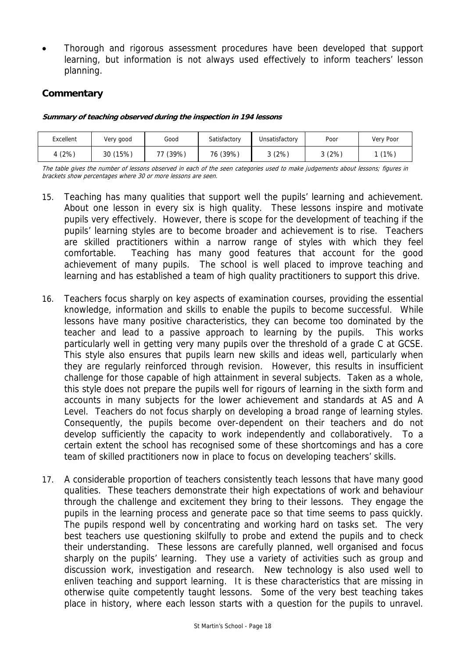• Thorough and rigorous assessment procedures have been developed that support learning, but information is not always used effectively to inform teachers' lesson planning.

# **Commentary**

#### **Summary of teaching observed during the inspection in 194 lessons**

| Excellent | Very good | Good  | Satisfactory | Unsatisfactory | Poor  | Verv Poor |
|-----------|-----------|-------|--------------|----------------|-------|-----------|
| (2%)      | 30 (15%)  | (39%) | 76 (39%)     | 3(2%)          | 3(2%) | $(1\%$    |

The table gives the number of lessons observed in each of the seen categories used to make judgements about lessons; figures in brackets show percentages where 30 or more lessons are seen.

- 15. Teaching has many qualities that support well the pupils' learning and achievement. About one lesson in every six is high quality. These lessons inspire and motivate pupils very effectively. However, there is scope for the development of teaching if the pupils' learning styles are to become broader and achievement is to rise. Teachers are skilled practitioners within a narrow range of styles with which they feel comfortable. Teaching has many good features that account for the good achievement of many pupils. The school is well placed to improve teaching and learning and has established a team of high quality practitioners to support this drive.
- 16. Teachers focus sharply on key aspects of examination courses, providing the essential knowledge, information and skills to enable the pupils to become successful. While lessons have many positive characteristics, they can become too dominated by the teacher and lead to a passive approach to learning by the pupils. This works particularly well in getting very many pupils over the threshold of a grade C at GCSE. This style also ensures that pupils learn new skills and ideas well, particularly when they are regularly reinforced through revision. However, this results in insufficient challenge for those capable of high attainment in several subjects. Taken as a whole, this style does not prepare the pupils well for rigours of learning in the sixth form and accounts in many subjects for the lower achievement and standards at AS and A Level. Teachers do not focus sharply on developing a broad range of learning styles. Consequently, the pupils become over-dependent on their teachers and do not develop sufficiently the capacity to work independently and collaboratively. To a certain extent the school has recognised some of these shortcomings and has a core team of skilled practitioners now in place to focus on developing teachers' skills.
- 17. A considerable proportion of teachers consistently teach lessons that have many good qualities. These teachers demonstrate their high expectations of work and behaviour through the challenge and excitement they bring to their lessons. They engage the pupils in the learning process and generate pace so that time seems to pass quickly. The pupils respond well by concentrating and working hard on tasks set. The very best teachers use questioning skilfully to probe and extend the pupils and to check their understanding. These lessons are carefully planned, well organised and focus sharply on the pupils' learning. They use a variety of activities such as group and discussion work, investigation and research. New technology is also used well to enliven teaching and support learning. It is these characteristics that are missing in otherwise quite competently taught lessons. Some of the very best teaching takes place in history, where each lesson starts with a question for the pupils to unravel.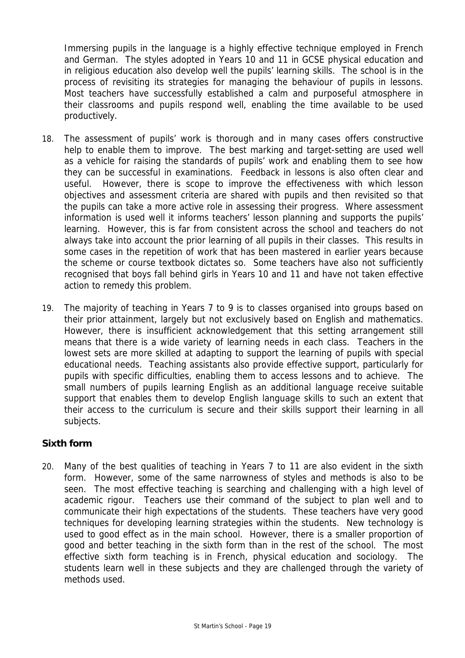Immersing pupils in the language is a highly effective technique employed in French and German. The styles adopted in Years 10 and 11 in GCSE physical education and in religious education also develop well the pupils' learning skills. The school is in the process of revisiting its strategies for managing the behaviour of pupils in lessons. Most teachers have successfully established a calm and purposeful atmosphere in their classrooms and pupils respond well, enabling the time available to be used productively.

- 18. The assessment of pupils' work is thorough and in many cases offers constructive help to enable them to improve. The best marking and target-setting are used well as a vehicle for raising the standards of pupils' work and enabling them to see how they can be successful in examinations. Feedback in lessons is also often clear and useful. However, there is scope to improve the effectiveness with which lesson objectives and assessment criteria are shared with pupils and then revisited so that the pupils can take a more active role in assessing their progress. Where assessment information is used well it informs teachers' lesson planning and supports the pupils' learning. However, this is far from consistent across the school and teachers do not always take into account the prior learning of all pupils in their classes. This results in some cases in the repetition of work that has been mastered in earlier years because the scheme or course textbook dictates so. Some teachers have also not sufficiently recognised that boys fall behind girls in Years 10 and 11 and have not taken effective action to remedy this problem.
- 19. The majority of teaching in Years 7 to 9 is to classes organised into groups based on their prior attainment, largely but not exclusively based on English and mathematics. However, there is insufficient acknowledgement that this setting arrangement still means that there is a wide variety of learning needs in each class. Teachers in the lowest sets are more skilled at adapting to support the learning of pupils with special educational needs. Teaching assistants also provide effective support, particularly for pupils with specific difficulties, enabling them to access lessons and to achieve. The small numbers of pupils learning English as an additional language receive suitable support that enables them to develop English language skills to such an extent that their access to the curriculum is secure and their skills support their learning in all subjects.

# **Sixth form**

20. Many of the best qualities of teaching in Years 7 to 11 are also evident in the sixth form. However, some of the same narrowness of styles and methods is also to be seen. The most effective teaching is searching and challenging with a high level of academic rigour. Teachers use their command of the subject to plan well and to communicate their high expectations of the students. These teachers have very good techniques for developing learning strategies within the students. New technology is used to good effect as in the main school. However, there is a smaller proportion of good and better teaching in the sixth form than in the rest of the school. The most effective sixth form teaching is in French, physical education and sociology. The students learn well in these subjects and they are challenged through the variety of methods used.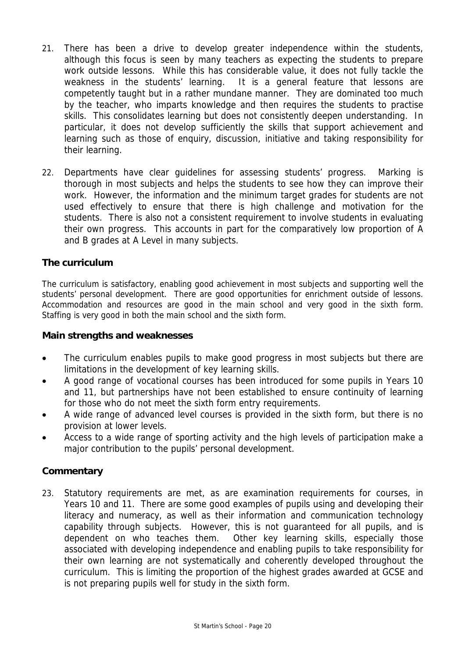- 21. There has been a drive to develop greater independence within the students, although this focus is seen by many teachers as expecting the students to prepare work outside lessons. While this has considerable value, it does not fully tackle the weakness in the students' learning. It is a general feature that lessons are competently taught but in a rather mundane manner. They are dominated too much by the teacher, who imparts knowledge and then requires the students to practise skills. This consolidates learning but does not consistently deepen understanding. In particular, it does not develop sufficiently the skills that support achievement and learning such as those of enquiry, discussion, initiative and taking responsibility for their learning.
- 22. Departments have clear guidelines for assessing students' progress. Marking is thorough in most subjects and helps the students to see how they can improve their work. However, the information and the minimum target grades for students are not used effectively to ensure that there is high challenge and motivation for the students. There is also not a consistent requirement to involve students in evaluating their own progress. This accounts in part for the comparatively low proportion of A and B grades at A Level in many subjects.

# **The curriculum**

The curriculum is satisfactory, enabling good achievement in most subjects and supporting well the students' personal development. There are good opportunities for enrichment outside of lessons. Accommodation and resources are good in the main school and very good in the sixth form. Staffing is very good in both the main school and the sixth form.

# **Main strengths and weaknesses**

- The curriculum enables pupils to make good progress in most subjects but there are limitations in the development of key learning skills.
- A good range of vocational courses has been introduced for some pupils in Years 10 and 11, but partnerships have not been established to ensure continuity of learning for those who do not meet the sixth form entry requirements.
- A wide range of advanced level courses is provided in the sixth form, but there is no provision at lower levels.
- Access to a wide range of sporting activity and the high levels of participation make a major contribution to the pupils' personal development.

# **Commentary**

23. Statutory requirements are met, as are examination requirements for courses, in Years 10 and 11. There are some good examples of pupils using and developing their literacy and numeracy, as well as their information and communication technology capability through subjects. However, this is not guaranteed for all pupils, and is dependent on who teaches them. Other key learning skills, especially those associated with developing independence and enabling pupils to take responsibility for their own learning are not systematically and coherently developed throughout the curriculum. This is limiting the proportion of the highest grades awarded at GCSE and is not preparing pupils well for study in the sixth form.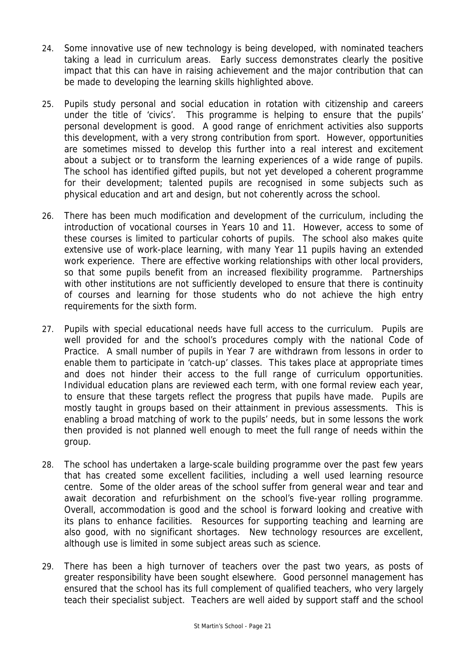- 24. Some innovative use of new technology is being developed, with nominated teachers taking a lead in curriculum areas. Early success demonstrates clearly the positive impact that this can have in raising achievement and the major contribution that can be made to developing the learning skills highlighted above.
- 25. Pupils study personal and social education in rotation with citizenship and careers under the title of 'civics'. This programme is helping to ensure that the pupils' personal development is good. A good range of enrichment activities also supports this development, with a very strong contribution from sport. However, opportunities are sometimes missed to develop this further into a real interest and excitement about a subject or to transform the learning experiences of a wide range of pupils. The school has identified gifted pupils, but not yet developed a coherent programme for their development; talented pupils are recognised in some subjects such as physical education and art and design, but not coherently across the school.
- 26. There has been much modification and development of the curriculum, including the introduction of vocational courses in Years 10 and 11. However, access to some of these courses is limited to particular cohorts of pupils. The school also makes quite extensive use of work-place learning, with many Year 11 pupils having an extended work experience. There are effective working relationships with other local providers, so that some pupils benefit from an increased flexibility programme. Partnerships with other institutions are not sufficiently developed to ensure that there is continuity of courses and learning for those students who do not achieve the high entry requirements for the sixth form.
- 27. Pupils with special educational needs have full access to the curriculum. Pupils are well provided for and the school's procedures comply with the national Code of Practice. A small number of pupils in Year 7 are withdrawn from lessons in order to enable them to participate in 'catch-up' classes. This takes place at appropriate times and does not hinder their access to the full range of curriculum opportunities. Individual education plans are reviewed each term, with one formal review each year, to ensure that these targets reflect the progress that pupils have made. Pupils are mostly taught in groups based on their attainment in previous assessments. This is enabling a broad matching of work to the pupils' needs, but in some lessons the work then provided is not planned well enough to meet the full range of needs within the group.
- 28. The school has undertaken a large-scale building programme over the past few years that has created some excellent facilities, including a well used learning resource centre. Some of the older areas of the school suffer from general wear and tear and await decoration and refurbishment on the school's five-year rolling programme. Overall, accommodation is good and the school is forward looking and creative with its plans to enhance facilities. Resources for supporting teaching and learning are also good, with no significant shortages. New technology resources are excellent, although use is limited in some subject areas such as science.
- 29. There has been a high turnover of teachers over the past two years, as posts of greater responsibility have been sought elsewhere. Good personnel management has ensured that the school has its full complement of qualified teachers, who very largely teach their specialist subject. Teachers are well aided by support staff and the school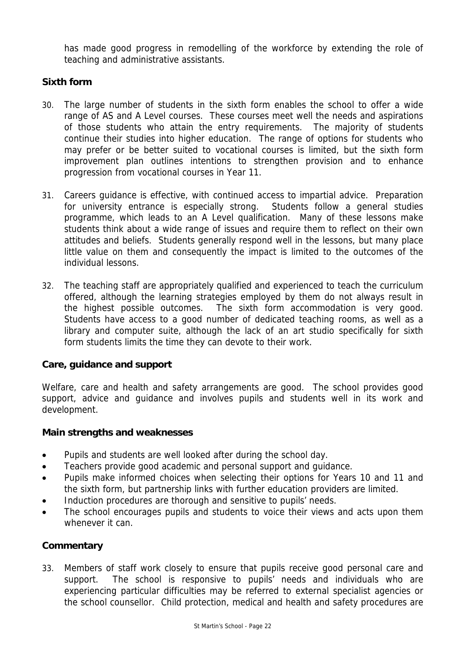has made good progress in remodelling of the workforce by extending the role of teaching and administrative assistants.

# **Sixth form**

- 30. The large number of students in the sixth form enables the school to offer a wide range of AS and A Level courses. These courses meet well the needs and aspirations of those students who attain the entry requirements. The majority of students continue their studies into higher education. The range of options for students who may prefer or be better suited to vocational courses is limited, but the sixth form improvement plan outlines intentions to strengthen provision and to enhance progression from vocational courses in Year 11.
- 31. Careers guidance is effective, with continued access to impartial advice. Preparation for university entrance is especially strong. Students follow a general studies programme, which leads to an A Level qualification. Many of these lessons make students think about a wide range of issues and require them to reflect on their own attitudes and beliefs. Students generally respond well in the lessons, but many place little value on them and consequently the impact is limited to the outcomes of the individual lessons.
- 32. The teaching staff are appropriately qualified and experienced to teach the curriculum offered, although the learning strategies employed by them do not always result in the highest possible outcomes. The sixth form accommodation is very good. Students have access to a good number of dedicated teaching rooms, as well as a library and computer suite, although the lack of an art studio specifically for sixth form students limits the time they can devote to their work.

# **Care, guidance and support**

Welfare, care and health and safety arrangements are good. The school provides good support, advice and guidance and involves pupils and students well in its work and development.

#### **Main strengths and weaknesses**

- Pupils and students are well looked after during the school day.
- Teachers provide good academic and personal support and guidance.
- Pupils make informed choices when selecting their options for Years 10 and 11 and the sixth form, but partnership links with further education providers are limited.
- Induction procedures are thorough and sensitive to pupils' needs.
- The school encourages pupils and students to voice their views and acts upon them whenever it can.

# **Commentary**

33. Members of staff work closely to ensure that pupils receive good personal care and support. The school is responsive to pupils' needs and individuals who are experiencing particular difficulties may be referred to external specialist agencies or the school counsellor. Child protection, medical and health and safety procedures are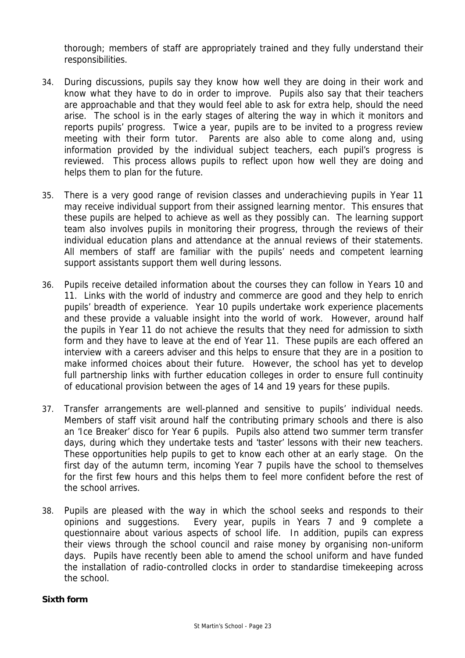thorough; members of staff are appropriately trained and they fully understand their responsibilities.

- 34. During discussions, pupils say they know how well they are doing in their work and know what they have to do in order to improve. Pupils also say that their teachers are approachable and that they would feel able to ask for extra help, should the need arise. The school is in the early stages of altering the way in which it monitors and reports pupils' progress. Twice a year, pupils are to be invited to a progress review meeting with their form tutor. Parents are also able to come along and, using information provided by the individual subject teachers, each pupil's progress is reviewed. This process allows pupils to reflect upon how well they are doing and helps them to plan for the future.
- 35. There is a very good range of revision classes and underachieving pupils in Year 11 may receive individual support from their assigned learning mentor. This ensures that these pupils are helped to achieve as well as they possibly can. The learning support team also involves pupils in monitoring their progress, through the reviews of their individual education plans and attendance at the annual reviews of their statements. All members of staff are familiar with the pupils' needs and competent learning support assistants support them well during lessons.
- 36. Pupils receive detailed information about the courses they can follow in Years 10 and 11. Links with the world of industry and commerce are good and they help to enrich pupils' breadth of experience. Year 10 pupils undertake work experience placements and these provide a valuable insight into the world of work. However, around half the pupils in Year 11 do not achieve the results that they need for admission to sixth form and they have to leave at the end of Year 11. These pupils are each offered an interview with a careers adviser and this helps to ensure that they are in a position to make informed choices about their future. However, the school has yet to develop full partnership links with further education colleges in order to ensure full continuity of educational provision between the ages of 14 and 19 years for these pupils.
- 37. Transfer arrangements are well-planned and sensitive to pupils' individual needs. Members of staff visit around half the contributing primary schools and there is also an 'Ice Breaker' disco for Year 6 pupils. Pupils also attend two summer term transfer days, during which they undertake tests and 'taster' lessons with their new teachers. These opportunities help pupils to get to know each other at an early stage. On the first day of the autumn term, incoming Year 7 pupils have the school to themselves for the first few hours and this helps them to feel more confident before the rest of the school arrives.
- 38. Pupils are pleased with the way in which the school seeks and responds to their opinions and suggestions. Every year, pupils in Years 7 and 9 complete a questionnaire about various aspects of school life. In addition, pupils can express their views through the school council and raise money by organising non-uniform days. Pupils have recently been able to amend the school uniform and have funded the installation of radio-controlled clocks in order to standardise timekeeping across the school.

#### **Sixth form**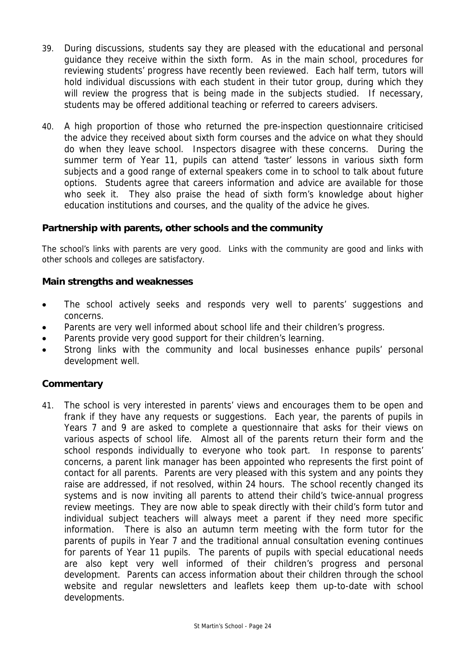- 39. During discussions, students say they are pleased with the educational and personal guidance they receive within the sixth form. As in the main school, procedures for reviewing students' progress have recently been reviewed. Each half term, tutors will hold individual discussions with each student in their tutor group, during which they will review the progress that is being made in the subjects studied. If necessary, students may be offered additional teaching or referred to careers advisers.
- 40. A high proportion of those who returned the pre-inspection questionnaire criticised the advice they received about sixth form courses and the advice on what they should do when they leave school. Inspectors disagree with these concerns. During the summer term of Year 11, pupils can attend 'taster' lessons in various sixth form subjects and a good range of external speakers come in to school to talk about future options. Students agree that careers information and advice are available for those who seek it. They also praise the head of sixth form's knowledge about higher education institutions and courses, and the quality of the advice he gives.

# **Partnership with parents, other schools and the community**

The school's links with parents are very good. Links with the community are good and links with other schools and colleges are satisfactory.

# **Main strengths and weaknesses**

- The school actively seeks and responds very well to parents' suggestions and concerns.
- Parents are very well informed about school life and their children's progress.
- Parents provide very good support for their children's learning.
- Strong links with the community and local businesses enhance pupils' personal development well.

# **Commentary**

41. The school is very interested in parents' views and encourages them to be open and frank if they have any requests or suggestions. Each year, the parents of pupils in Years 7 and 9 are asked to complete a questionnaire that asks for their views on various aspects of school life. Almost all of the parents return their form and the school responds individually to everyone who took part. In response to parents' concerns, a parent link manager has been appointed who represents the first point of contact for all parents. Parents are very pleased with this system and any points they raise are addressed, if not resolved, within 24 hours. The school recently changed its systems and is now inviting all parents to attend their child's twice-annual progress review meetings. They are now able to speak directly with their child's form tutor and individual subject teachers will always meet a parent if they need more specific information. There is also an autumn term meeting with the form tutor for the parents of pupils in Year 7 and the traditional annual consultation evening continues for parents of Year 11 pupils. The parents of pupils with special educational needs are also kept very well informed of their children's progress and personal development. Parents can access information about their children through the school website and regular newsletters and leaflets keep them up-to-date with school developments.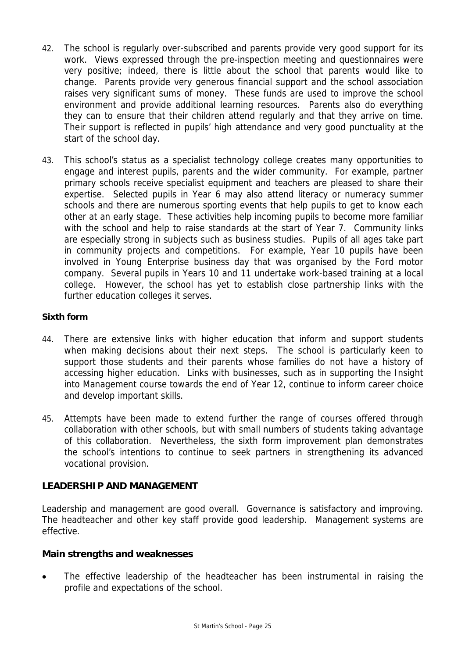- 42. The school is regularly over-subscribed and parents provide very good support for its work. Views expressed through the pre-inspection meeting and questionnaires were very positive; indeed, there is little about the school that parents would like to change. Parents provide very generous financial support and the school association raises very significant sums of money. These funds are used to improve the school environment and provide additional learning resources. Parents also do everything they can to ensure that their children attend regularly and that they arrive on time. Their support is reflected in pupils' high attendance and very good punctuality at the start of the school day.
- 43. This school's status as a specialist technology college creates many opportunities to engage and interest pupils, parents and the wider community. For example, partner primary schools receive specialist equipment and teachers are pleased to share their expertise. Selected pupils in Year 6 may also attend literacy or numeracy summer schools and there are numerous sporting events that help pupils to get to know each other at an early stage. These activities help incoming pupils to become more familiar with the school and help to raise standards at the start of Year 7. Community links are especially strong in subjects such as business studies. Pupils of all ages take part in community projects and competitions. For example, Year 10 pupils have been involved in Young Enterprise business day that was organised by the Ford motor company. Several pupils in Years 10 and 11 undertake work-based training at a local college. However, the school has yet to establish close partnership links with the further education colleges it serves.

# **Sixth form**

- 44. There are extensive links with higher education that inform and support students when making decisions about their next steps. The school is particularly keen to support those students and their parents whose families do not have a history of accessing higher education. Links with businesses, such as in supporting the Insight into Management course towards the end of Year 12, continue to inform career choice and develop important skills.
- 45. Attempts have been made to extend further the range of courses offered through collaboration with other schools, but with small numbers of students taking advantage of this collaboration. Nevertheless, the sixth form improvement plan demonstrates the school's intentions to continue to seek partners in strengthening its advanced vocational provision.

# **LEADERSHIP AND MANAGEMENT**

Leadership and management are good overall. Governance is satisfactory and improving. The headteacher and other key staff provide good leadership. Management systems are effective.

#### **Main strengths and weaknesses**

The effective leadership of the headteacher has been instrumental in raising the profile and expectations of the school.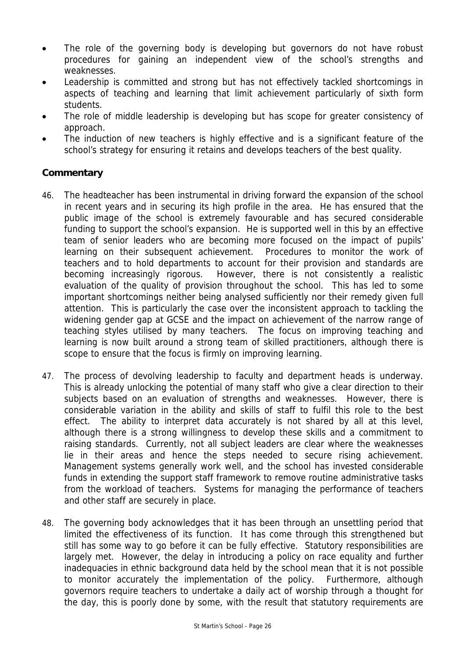- The role of the governing body is developing but governors do not have robust procedures for gaining an independent view of the school's strengths and weaknesses.
- Leadership is committed and strong but has not effectively tackled shortcomings in aspects of teaching and learning that limit achievement particularly of sixth form students.
- The role of middle leadership is developing but has scope for greater consistency of approach.
- The induction of new teachers is highly effective and is a significant feature of the school's strategy for ensuring it retains and develops teachers of the best quality.

- 46. The headteacher has been instrumental in driving forward the expansion of the school in recent years and in securing its high profile in the area. He has ensured that the public image of the school is extremely favourable and has secured considerable funding to support the school's expansion. He is supported well in this by an effective team of senior leaders who are becoming more focused on the impact of pupils' learning on their subsequent achievement. Procedures to monitor the work of teachers and to hold departments to account for their provision and standards are becoming increasingly rigorous. However, there is not consistently a realistic evaluation of the quality of provision throughout the school. This has led to some important shortcomings neither being analysed sufficiently nor their remedy given full attention. This is particularly the case over the inconsistent approach to tackling the widening gender gap at GCSE and the impact on achievement of the narrow range of teaching styles utilised by many teachers. The focus on improving teaching and learning is now built around a strong team of skilled practitioners, although there is scope to ensure that the focus is firmly on improving learning.
- 47. The process of devolving leadership to faculty and department heads is underway. This is already unlocking the potential of many staff who give a clear direction to their subjects based on an evaluation of strengths and weaknesses. However, there is considerable variation in the ability and skills of staff to fulfil this role to the best effect. The ability to interpret data accurately is not shared by all at this level, although there is a strong willingness to develop these skills and a commitment to raising standards. Currently, not all subject leaders are clear where the weaknesses lie in their areas and hence the steps needed to secure rising achievement. Management systems generally work well, and the school has invested considerable funds in extending the support staff framework to remove routine administrative tasks from the workload of teachers. Systems for managing the performance of teachers and other staff are securely in place.
- 48. The governing body acknowledges that it has been through an unsettling period that limited the effectiveness of its function. It has come through this strengthened but still has some way to go before it can be fully effective. Statutory responsibilities are largely met. However, the delay in introducing a policy on race equality and further inadequacies in ethnic background data held by the school mean that it is not possible to monitor accurately the implementation of the policy. Furthermore, although governors require teachers to undertake a daily act of worship through a thought for the day, this is poorly done by some, with the result that statutory requirements are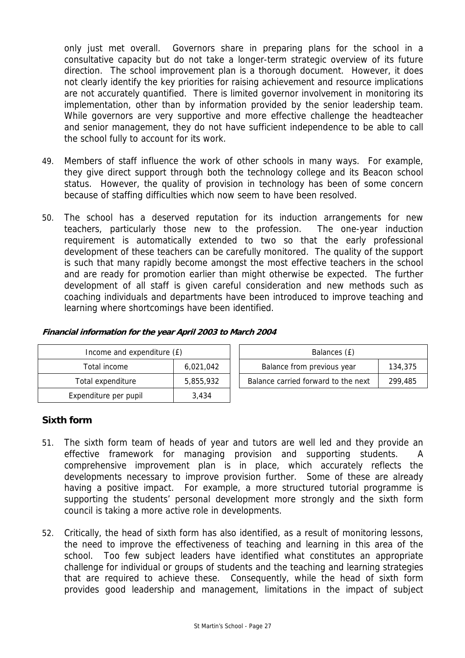only just met overall. Governors share in preparing plans for the school in a consultative capacity but do not take a longer-term strategic overview of its future direction. The school improvement plan is a thorough document. However, it does not clearly identify the key priorities for raising achievement and resource implications are not accurately quantified. There is limited governor involvement in monitoring its implementation, other than by information provided by the senior leadership team. While governors are very supportive and more effective challenge the headteacher and senior management, they do not have sufficient independence to be able to call the school fully to account for its work.

- 49. Members of staff influence the work of other schools in many ways. For example, they give direct support through both the technology college and its Beacon school status. However, the quality of provision in technology has been of some concern because of staffing difficulties which now seem to have been resolved.
- 50. The school has a deserved reputation for its induction arrangements for new teachers, particularly those new to the profession. The one-year induction requirement is automatically extended to two so that the early professional development of these teachers can be carefully monitored. The quality of the support is such that many rapidly become amongst the most effective teachers in the school and are ready for promotion earlier than might otherwise be expected. The further development of all staff is given careful consideration and new methods such as coaching individuals and departments have been introduced to improve teaching and learning where shortcomings have been identified.

| Income and expenditure (£) |           | Balances (£)                                   |  |  |  |
|----------------------------|-----------|------------------------------------------------|--|--|--|
| Total income               | 6,021,042 | Balance from previous year<br>134,375          |  |  |  |
| Total expenditure          | 5,855,932 | Balance carried forward to the next<br>299,485 |  |  |  |
| Expenditure per pupil      | 3,434     |                                                |  |  |  |

#### **Financial information for the year April 2003 to March 2004**

# **Sixth form**

- 51. The sixth form team of heads of year and tutors are well led and they provide an effective framework for managing provision and supporting students. A comprehensive improvement plan is in place, which accurately reflects the developments necessary to improve provision further. Some of these are already having a positive impact. For example, a more structured tutorial programme is supporting the students' personal development more strongly and the sixth form council is taking a more active role in developments.
- 52. Critically, the head of sixth form has also identified, as a result of monitoring lessons, the need to improve the effectiveness of teaching and learning in this area of the school. Too few subject leaders have identified what constitutes an appropriate challenge for individual or groups of students and the teaching and learning strategies that are required to achieve these. Consequently, while the head of sixth form provides good leadership and management, limitations in the impact of subject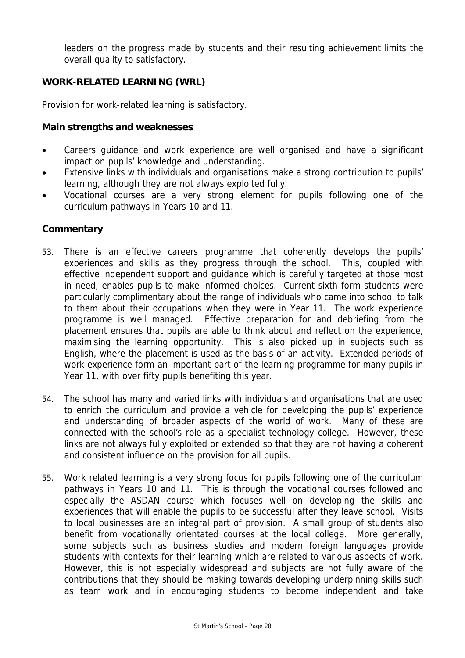leaders on the progress made by students and their resulting achievement limits the overall quality to satisfactory.

# **WORK-RELATED LEARNING (WRL)**

Provision for work-related learning is satisfactory.

#### **Main strengths and weaknesses**

- Careers guidance and work experience are well organised and have a significant impact on pupils' knowledge and understanding.
- Extensive links with individuals and organisations make a strong contribution to pupils' learning, although they are not always exploited fully.
- Vocational courses are a very strong element for pupils following one of the curriculum pathways in Years 10 and 11.

- 53. There is an effective careers programme that coherently develops the pupils' experiences and skills as they progress through the school. This, coupled with effective independent support and guidance which is carefully targeted at those most in need, enables pupils to make informed choices. Current sixth form students were particularly complimentary about the range of individuals who came into school to talk to them about their occupations when they were in Year 11. The work experience programme is well managed. Effective preparation for and debriefing from the placement ensures that pupils are able to think about and reflect on the experience, maximising the learning opportunity. This is also picked up in subjects such as English, where the placement is used as the basis of an activity. Extended periods of work experience form an important part of the learning programme for many pupils in Year 11, with over fifty pupils benefiting this year.
- 54. The school has many and varied links with individuals and organisations that are used to enrich the curriculum and provide a vehicle for developing the pupils' experience and understanding of broader aspects of the world of work. Many of these are connected with the school's role as a specialist technology college. However, these links are not always fully exploited or extended so that they are not having a coherent and consistent influence on the provision for all pupils.
- 55. Work related learning is a very strong focus for pupils following one of the curriculum pathways in Years 10 and 11. This is through the vocational courses followed and especially the ASDAN course which focuses well on developing the skills and experiences that will enable the pupils to be successful after they leave school. Visits to local businesses are an integral part of provision. A small group of students also benefit from vocationally orientated courses at the local college. More generally, some subjects such as business studies and modern foreign languages provide students with contexts for their learning which are related to various aspects of work. However, this is not especially widespread and subjects are not fully aware of the contributions that they should be making towards developing underpinning skills such as team work and in encouraging students to become independent and take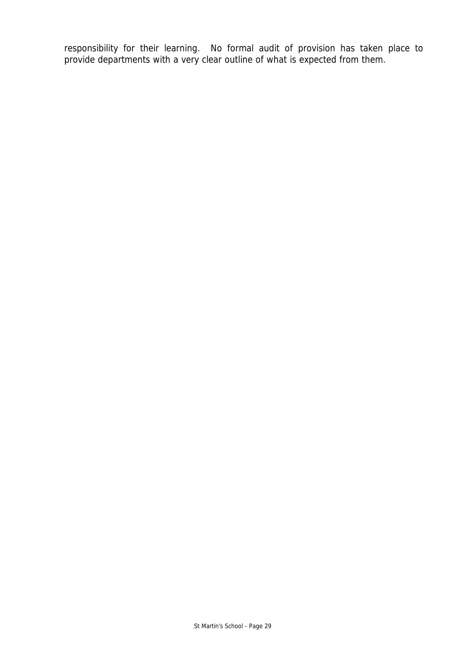responsibility for their learning. No formal audit of provision has taken place to provide departments with a very clear outline of what is expected from them.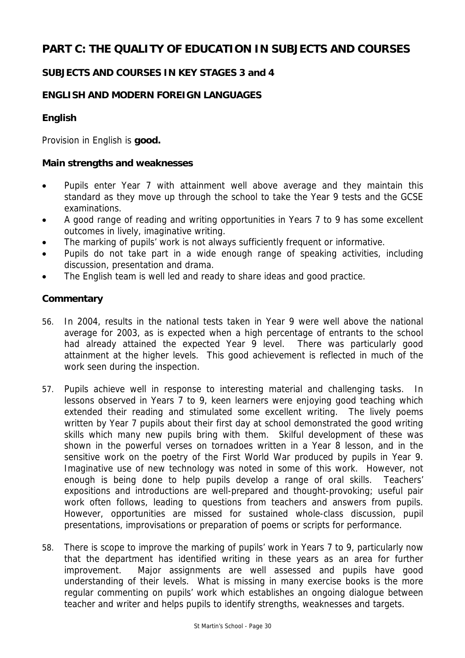# **PART C: THE QUALITY OF EDUCATION IN SUBJECTS AND COURSES**

# **SUBJECTS AND COURSES IN KEY STAGES 3 and 4**

# **ENGLISH AND MODERN FOREIGN LANGUAGES**

# **English**

Provision in English is **good.**

#### **Main strengths and weaknesses**

- Pupils enter Year 7 with attainment well above average and they maintain this standard as they move up through the school to take the Year 9 tests and the GCSE examinations.
- A good range of reading and writing opportunities in Years 7 to 9 has some excellent outcomes in lively, imaginative writing.
- The marking of pupils' work is not always sufficiently frequent or informative.
- Pupils do not take part in a wide enough range of speaking activities, including discussion, presentation and drama.
- The English team is well led and ready to share ideas and good practice.

- 56. In 2004, results in the national tests taken in Year 9 were well above the national average for 2003, as is expected when a high percentage of entrants to the school had already attained the expected Year 9 level. There was particularly good attainment at the higher levels. This good achievement is reflected in much of the work seen during the inspection.
- 57. Pupils achieve well in response to interesting material and challenging tasks. In lessons observed in Years 7 to 9, keen learners were enjoying good teaching which extended their reading and stimulated some excellent writing. The lively poems written by Year 7 pupils about their first day at school demonstrated the good writing skills which many new pupils bring with them. Skilful development of these was shown in the powerful verses on tornadoes written in a Year 8 lesson, and in the sensitive work on the poetry of the First World War produced by pupils in Year 9. Imaginative use of new technology was noted in some of this work. However, not enough is being done to help pupils develop a range of oral skills. Teachers' expositions and introductions are well-prepared and thought-provoking; useful pair work often follows, leading to questions from teachers and answers from pupils. However, opportunities are missed for sustained whole-class discussion, pupil presentations, improvisations or preparation of poems or scripts for performance.
- 58. There is scope to improve the marking of pupils' work in Years 7 to 9, particularly now that the department has identified writing in these years as an area for further improvement. Major assignments are well assessed and pupils have good understanding of their levels. What is missing in many exercise books is the more regular commenting on pupils' work which establishes an ongoing dialogue between teacher and writer and helps pupils to identify strengths, weaknesses and targets.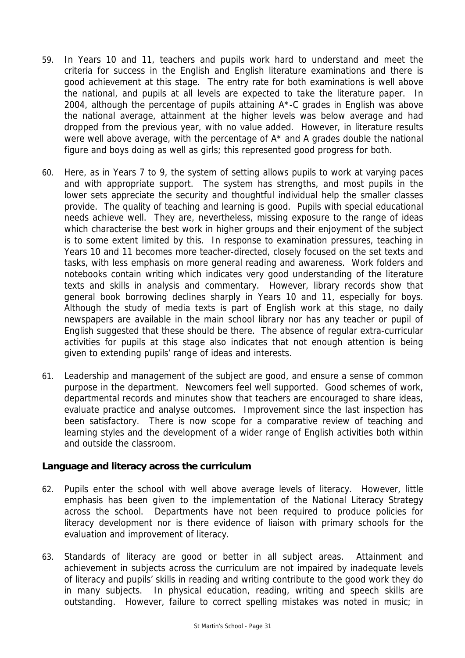- 59. In Years 10 and 11, teachers and pupils work hard to understand and meet the criteria for success in the English and English literature examinations and there is good achievement at this stage. The entry rate for both examinations is well above the national, and pupils at all levels are expected to take the literature paper. In 2004, although the percentage of pupils attaining A\*-C grades in English was above the national average, attainment at the higher levels was below average and had dropped from the previous year, with no value added. However, in literature results were well above average, with the percentage of A\* and A grades double the national figure and boys doing as well as girls; this represented good progress for both.
- 60. Here, as in Years 7 to 9, the system of setting allows pupils to work at varying paces and with appropriate support. The system has strengths, and most pupils in the lower sets appreciate the security and thoughtful individual help the smaller classes provide. The quality of teaching and learning is good. Pupils with special educational needs achieve well. They are, nevertheless, missing exposure to the range of ideas which characterise the best work in higher groups and their enjoyment of the subject is to some extent limited by this. In response to examination pressures, teaching in Years 10 and 11 becomes more teacher-directed, closely focused on the set texts and tasks, with less emphasis on more general reading and awareness. Work folders and notebooks contain writing which indicates very good understanding of the literature texts and skills in analysis and commentary. However, library records show that general book borrowing declines sharply in Years 10 and 11, especially for boys. Although the study of media texts is part of English work at this stage, no daily newspapers are available in the main school library nor has any teacher or pupil of English suggested that these should be there. The absence of regular extra-curricular activities for pupils at this stage also indicates that not enough attention is being given to extending pupils' range of ideas and interests.
- 61. Leadership and management of the subject are good, and ensure a sense of common purpose in the department. Newcomers feel well supported. Good schemes of work, departmental records and minutes show that teachers are encouraged to share ideas, evaluate practice and analyse outcomes. Improvement since the last inspection has been satisfactory. There is now scope for a comparative review of teaching and learning styles and the development of a wider range of English activities both within and outside the classroom.

# **Language and literacy across the curriculum**

- 62. Pupils enter the school with well above average levels of literacy. However, little emphasis has been given to the implementation of the National Literacy Strategy across the school. Departments have not been required to produce policies for literacy development nor is there evidence of liaison with primary schools for the evaluation and improvement of literacy.
- 63. Standards of literacy are good or better in all subject areas. Attainment and achievement in subjects across the curriculum are not impaired by inadequate levels of literacy and pupils' skills in reading and writing contribute to the good work they do in many subjects. In physical education, reading, writing and speech skills are outstanding. However, failure to correct spelling mistakes was noted in music; in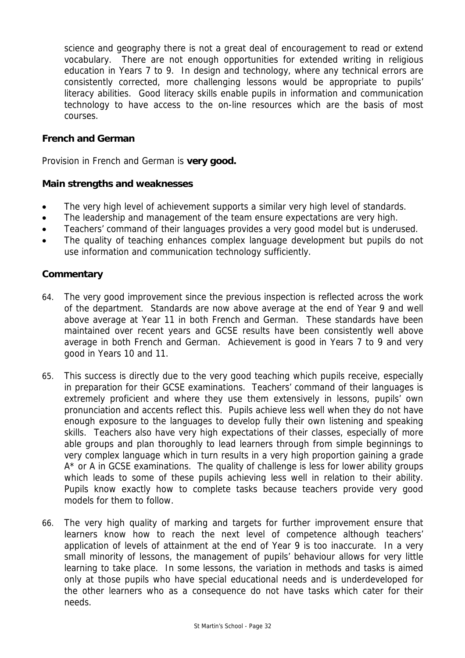science and geography there is not a great deal of encouragement to read or extend vocabulary. There are not enough opportunities for extended writing in religious education in Years 7 to 9. In design and technology, where any technical errors are consistently corrected, more challenging lessons would be appropriate to pupils' literacy abilities. Good literacy skills enable pupils in information and communication technology to have access to the on-line resources which are the basis of most courses.

# **French and German**

Provision in French and German is **very good.** 

#### **Main strengths and weaknesses**

- The very high level of achievement supports a similar very high level of standards.
- The leadership and management of the team ensure expectations are very high.
- Teachers' command of their languages provides a very good model but is underused.
- The quality of teaching enhances complex language development but pupils do not use information and communication technology sufficiently.

- 64. The very good improvement since the previous inspection is reflected across the work of the department. Standards are now above average at the end of Year 9 and well above average at Year 11 in both French and German. These standards have been maintained over recent years and GCSE results have been consistently well above average in both French and German. Achievement is good in Years 7 to 9 and very good in Years 10 and 11.
- 65. This success is directly due to the very good teaching which pupils receive, especially in preparation for their GCSE examinations. Teachers' command of their languages is extremely proficient and where they use them extensively in lessons, pupils' own pronunciation and accents reflect this. Pupils achieve less well when they do not have enough exposure to the languages to develop fully their own listening and speaking skills. Teachers also have very high expectations of their classes, especially of more able groups and plan thoroughly to lead learners through from simple beginnings to very complex language which in turn results in a very high proportion gaining a grade A<sup>\*</sup> or A in GCSE examinations. The quality of challenge is less for lower ability groups which leads to some of these pupils achieving less well in relation to their ability. Pupils know exactly how to complete tasks because teachers provide very good models for them to follow.
- 66. The very high quality of marking and targets for further improvement ensure that learners know how to reach the next level of competence although teachers' application of levels of attainment at the end of Year 9 is too inaccurate. In a very small minority of lessons, the management of pupils' behaviour allows for very little learning to take place. In some lessons, the variation in methods and tasks is aimed only at those pupils who have special educational needs and is underdeveloped for the other learners who as a consequence do not have tasks which cater for their needs.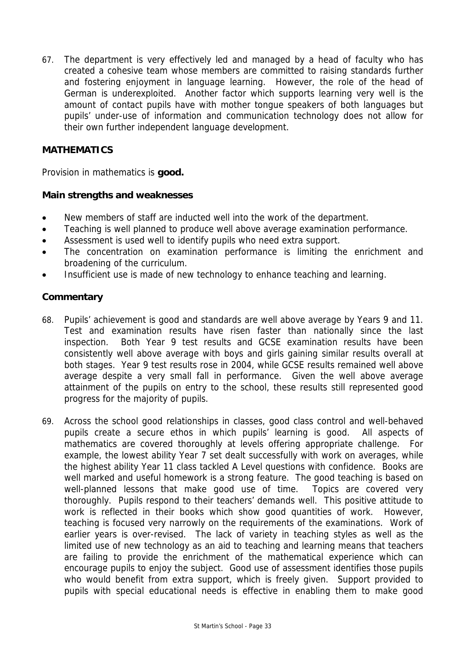67. The department is very effectively led and managed by a head of faculty who has created a cohesive team whose members are committed to raising standards further and fostering enjoyment in language learning. However, the role of the head of German is underexploited. Another factor which supports learning very well is the amount of contact pupils have with mother tongue speakers of both languages but pupils' under-use of information and communication technology does not allow for their own further independent language development.

# **MATHEMATICS**

Provision in mathematics is **good.**

# **Main strengths and weaknesses**

- New members of staff are inducted well into the work of the department.
- Teaching is well planned to produce well above average examination performance.
- Assessment is used well to identify pupils who need extra support.
- The concentration on examination performance is limiting the enrichment and broadening of the curriculum.
- Insufficient use is made of new technology to enhance teaching and learning.

- 68. Pupils' achievement is good and standards are well above average by Years 9 and 11. Test and examination results have risen faster than nationally since the last inspection. Both Year 9 test results and GCSE examination results have been consistently well above average with boys and girls gaining similar results overall at both stages. Year 9 test results rose in 2004, while GCSE results remained well above average despite a very small fall in performance. Given the well above average attainment of the pupils on entry to the school, these results still represented good progress for the majority of pupils.
- 69. Across the school good relationships in classes, good class control and well-behaved pupils create a secure ethos in which pupils' learning is good. All aspects of mathematics are covered thoroughly at levels offering appropriate challenge. For example, the lowest ability Year 7 set dealt successfully with work on averages, while the highest ability Year 11 class tackled A Level questions with confidence. Books are well marked and useful homework is a strong feature. The good teaching is based on well-planned lessons that make good use of time. Topics are covered very thoroughly. Pupils respond to their teachers' demands well. This positive attitude to work is reflected in their books which show good quantities of work. However, teaching is focused very narrowly on the requirements of the examinations. Work of earlier years is over-revised. The lack of variety in teaching styles as well as the limited use of new technology as an aid to teaching and learning means that teachers are failing to provide the enrichment of the mathematical experience which can encourage pupils to enjoy the subject. Good use of assessment identifies those pupils who would benefit from extra support, which is freely given. Support provided to pupils with special educational needs is effective in enabling them to make good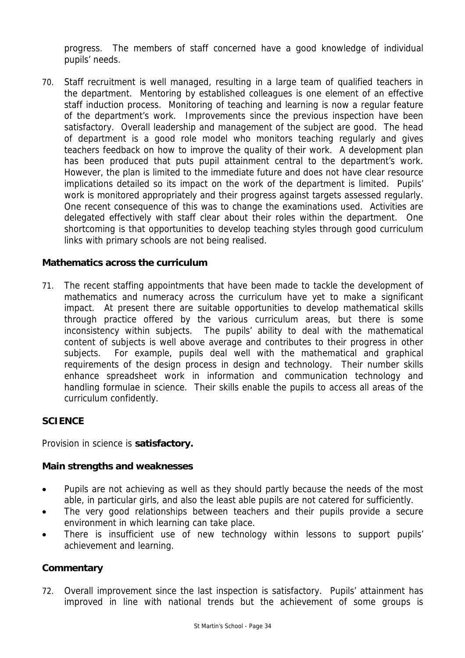progress. The members of staff concerned have a good knowledge of individual pupils' needs.

70. Staff recruitment is well managed, resulting in a large team of qualified teachers in the department. Mentoring by established colleagues is one element of an effective staff induction process. Monitoring of teaching and learning is now a regular feature of the department's work. Improvements since the previous inspection have been satisfactory. Overall leadership and management of the subject are good. The head of department is a good role model who monitors teaching regularly and gives teachers feedback on how to improve the quality of their work. A development plan has been produced that puts pupil attainment central to the department's work. However, the plan is limited to the immediate future and does not have clear resource implications detailed so its impact on the work of the department is limited. Pupils' work is monitored appropriately and their progress against targets assessed regularly. One recent consequence of this was to change the examinations used. Activities are delegated effectively with staff clear about their roles within the department. One shortcoming is that opportunities to develop teaching styles through good curriculum links with primary schools are not being realised.

# **Mathematics across the curriculum**

71. The recent staffing appointments that have been made to tackle the development of mathematics and numeracy across the curriculum have yet to make a significant impact. At present there are suitable opportunities to develop mathematical skills through practice offered by the various curriculum areas, but there is some inconsistency within subjects. The pupils' ability to deal with the mathematical content of subjects is well above average and contributes to their progress in other subjects. For example, pupils deal well with the mathematical and graphical requirements of the design process in design and technology. Their number skills enhance spreadsheet work in information and communication technology and handling formulae in science. Their skills enable the pupils to access all areas of the curriculum confidently.

# **SCIENCE**

Provision in science is **satisfactory.**

# **Main strengths and weaknesses**

- Pupils are not achieving as well as they should partly because the needs of the most able, in particular girls, and also the least able pupils are not catered for sufficiently.
- The very good relationships between teachers and their pupils provide a secure environment in which learning can take place.
- There is insufficient use of new technology within lessons to support pupils' achievement and learning.

# **Commentary**

72. Overall improvement since the last inspection is satisfactory. Pupils' attainment has improved in line with national trends but the achievement of some groups is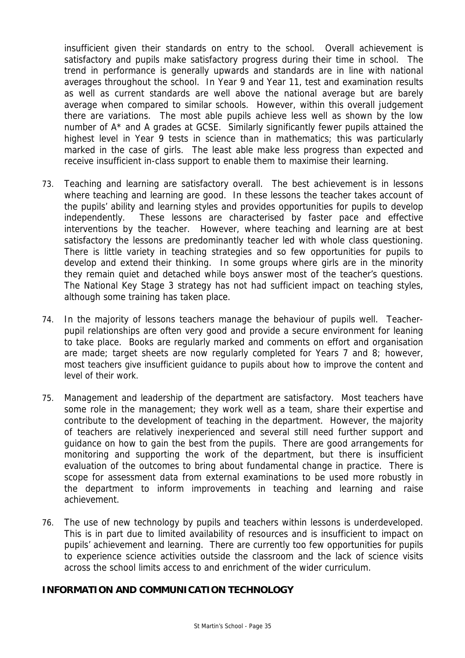insufficient given their standards on entry to the school. Overall achievement is satisfactory and pupils make satisfactory progress during their time in school. The trend in performance is generally upwards and standards are in line with national averages throughout the school. In Year 9 and Year 11, test and examination results as well as current standards are well above the national average but are barely average when compared to similar schools. However, within this overall judgement there are variations. The most able pupils achieve less well as shown by the low number of A\* and A grades at GCSE. Similarly significantly fewer pupils attained the highest level in Year 9 tests in science than in mathematics; this was particularly marked in the case of girls. The least able make less progress than expected and receive insufficient in-class support to enable them to maximise their learning.

- 73. Teaching and learning are satisfactory overall. The best achievement is in lessons where teaching and learning are good. In these lessons the teacher takes account of the pupils' ability and learning styles and provides opportunities for pupils to develop independently. These lessons are characterised by faster pace and effective interventions by the teacher. However, where teaching and learning are at best satisfactory the lessons are predominantly teacher led with whole class questioning. There is little variety in teaching strategies and so few opportunities for pupils to develop and extend their thinking. In some groups where girls are in the minority they remain quiet and detached while boys answer most of the teacher's questions. The National Key Stage 3 strategy has not had sufficient impact on teaching styles, although some training has taken place.
- 74. In the majority of lessons teachers manage the behaviour of pupils well. Teacherpupil relationships are often very good and provide a secure environment for leaning to take place. Books are regularly marked and comments on effort and organisation are made; target sheets are now regularly completed for Years 7 and 8; however, most teachers give insufficient guidance to pupils about how to improve the content and level of their work.
- 75. Management and leadership of the department are satisfactory. Most teachers have some role in the management; they work well as a team, share their expertise and contribute to the development of teaching in the department. However, the majority of teachers are relatively inexperienced and several still need further support and guidance on how to gain the best from the pupils. There are good arrangements for monitoring and supporting the work of the department, but there is insufficient evaluation of the outcomes to bring about fundamental change in practice. There is scope for assessment data from external examinations to be used more robustly in the department to inform improvements in teaching and learning and raise achievement.
- 76. The use of new technology by pupils and teachers within lessons is underdeveloped. This is in part due to limited availability of resources and is insufficient to impact on pupils' achievement and learning. There are currently too few opportunities for pupils to experience science activities outside the classroom and the lack of science visits across the school limits access to and enrichment of the wider curriculum.

# **INFORMATION AND COMMUNICATION TECHNOLOGY**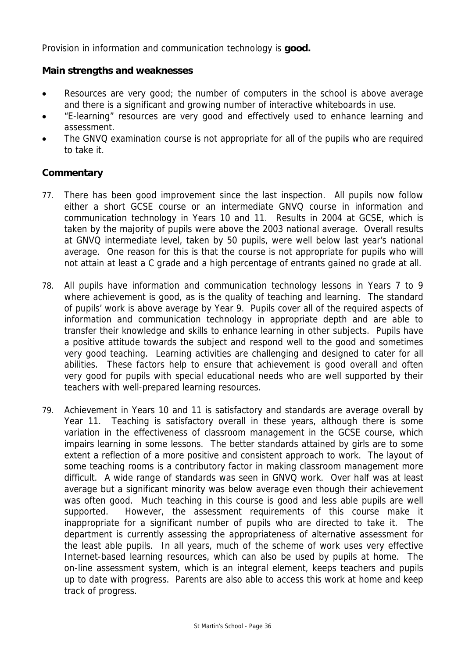Provision in information and communication technology is **good.**

# **Main strengths and weaknesses**

- Resources are very good; the number of computers in the school is above average and there is a significant and growing number of interactive whiteboards in use.
- "E-learning" resources are very good and effectively used to enhance learning and assessment.
- The GNVQ examination course is not appropriate for all of the pupils who are required to take it.

- 77. There has been good improvement since the last inspection. All pupils now follow either a short GCSE course or an intermediate GNVQ course in information and communication technology in Years 10 and 11. Results in 2004 at GCSE, which is taken by the majority of pupils were above the 2003 national average. Overall results at GNVQ intermediate level, taken by 50 pupils, were well below last year's national average. One reason for this is that the course is not appropriate for pupils who will not attain at least a C grade and a high percentage of entrants gained no grade at all.
- 78. All pupils have information and communication technology lessons in Years 7 to 9 where achievement is good, as is the quality of teaching and learning. The standard of pupils' work is above average by Year 9. Pupils cover all of the required aspects of information and communication technology in appropriate depth and are able to transfer their knowledge and skills to enhance learning in other subjects. Pupils have a positive attitude towards the subject and respond well to the good and sometimes very good teaching. Learning activities are challenging and designed to cater for all abilities. These factors help to ensure that achievement is good overall and often very good for pupils with special educational needs who are well supported by their teachers with well-prepared learning resources.
- 79. Achievement in Years 10 and 11 is satisfactory and standards are average overall by Year 11. Teaching is satisfactory overall in these years, although there is some variation in the effectiveness of classroom management in the GCSE course, which impairs learning in some lessons. The better standards attained by girls are to some extent a reflection of a more positive and consistent approach to work. The layout of some teaching rooms is a contributory factor in making classroom management more difficult. A wide range of standards was seen in GNVQ work. Over half was at least average but a significant minority was below average even though their achievement was often good. Much teaching in this course is good and less able pupils are well supported. However, the assessment requirements of this course make it inappropriate for a significant number of pupils who are directed to take it. The department is currently assessing the appropriateness of alternative assessment for the least able pupils. In all years, much of the scheme of work uses very effective Internet-based learning resources, which can also be used by pupils at home. The on-line assessment system, which is an integral element, keeps teachers and pupils up to date with progress. Parents are also able to access this work at home and keep track of progress.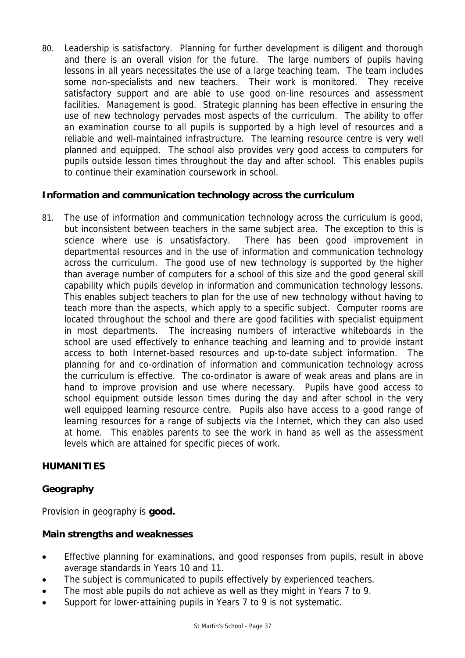80. Leadership is satisfactory. Planning for further development is diligent and thorough and there is an overall vision for the future. The large numbers of pupils having lessons in all years necessitates the use of a large teaching team. The team includes some non-specialists and new teachers. Their work is monitored. They receive satisfactory support and are able to use good on-line resources and assessment facilities. Management is good. Strategic planning has been effective in ensuring the use of new technology pervades most aspects of the curriculum. The ability to offer an examination course to all pupils is supported by a high level of resources and a reliable and well-maintained infrastructure. The learning resource centre is very well planned and equipped. The school also provides very good access to computers for pupils outside lesson times throughout the day and after school. This enables pupils to continue their examination coursework in school.

# **Information and communication technology across the curriculum**

81. The use of information and communication technology across the curriculum is good, but inconsistent between teachers in the same subject area. The exception to this is science where use is unsatisfactory. There has been good improvement in departmental resources and in the use of information and communication technology across the curriculum. The good use of new technology is supported by the higher than average number of computers for a school of this size and the good general skill capability which pupils develop in information and communication technology lessons. This enables subject teachers to plan for the use of new technology without having to teach more than the aspects, which apply to a specific subject. Computer rooms are located throughout the school and there are good facilities with specialist equipment in most departments. The increasing numbers of interactive whiteboards in the school are used effectively to enhance teaching and learning and to provide instant access to both Internet-based resources and up-to-date subject information. The planning for and co-ordination of information and communication technology across the curriculum is effective. The co-ordinator is aware of weak areas and plans are in hand to improve provision and use where necessary. Pupils have good access to school equipment outside lesson times during the day and after school in the very well equipped learning resource centre. Pupils also have access to a good range of learning resources for a range of subjects via the Internet, which they can also used at home. This enables parents to see the work in hand as well as the assessment levels which are attained for specific pieces of work.

# **HUMANITIES**

# **Geography**

Provision in geography is **good.**

# **Main strengths and weaknesses**

- Effective planning for examinations, and good responses from pupils, result in above average standards in Years 10 and 11.
- The subject is communicated to pupils effectively by experienced teachers.
- The most able pupils do not achieve as well as they might in Years 7 to 9.
- Support for lower-attaining pupils in Years 7 to 9 is not systematic.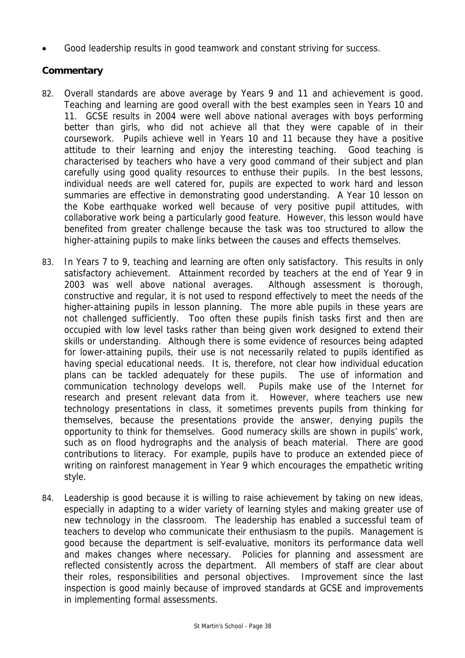• Good leadership results in good teamwork and constant striving for success.

- 82. Overall standards are above average by Years 9 and 11 and achievement is good. Teaching and learning are good overall with the best examples seen in Years 10 and 11. GCSE results in 2004 were well above national averages with boys performing better than girls, who did not achieve all that they were capable of in their coursework. Pupils achieve well in Years 10 and 11 because they have a positive attitude to their learning and enjoy the interesting teaching. Good teaching is characterised by teachers who have a very good command of their subject and plan carefully using good quality resources to enthuse their pupils. In the best lessons, individual needs are well catered for, pupils are expected to work hard and lesson summaries are effective in demonstrating good understanding. A Year 10 lesson on the Kobe earthquake worked well because of very positive pupil attitudes, with collaborative work being a particularly good feature. However, this lesson would have benefited from greater challenge because the task was too structured to allow the higher-attaining pupils to make links between the causes and effects themselves.
- 83. In Years 7 to 9, teaching and learning are often only satisfactory. This results in only satisfactory achievement. Attainment recorded by teachers at the end of Year 9 in 2003 was well above national averages. Although assessment is thorough, constructive and regular, it is not used to respond effectively to meet the needs of the higher-attaining pupils in lesson planning. The more able pupils in these years are not challenged sufficiently. Too often these pupils finish tasks first and then are occupied with low level tasks rather than being given work designed to extend their skills or understanding. Although there is some evidence of resources being adapted for lower-attaining pupils, their use is not necessarily related to pupils identified as having special educational needs. It is, therefore, not clear how individual education plans can be tackled adequately for these pupils. The use of information and communication technology develops well. Pupils make use of the Internet for research and present relevant data from it. However, where teachers use new technology presentations in class, it sometimes prevents pupils from thinking for themselves, because the presentations provide the answer, denying pupils the opportunity to think for themselves. Good numeracy skills are shown in pupils' work, such as on flood hydrographs and the analysis of beach material. There are good contributions to literacy. For example, pupils have to produce an extended piece of writing on rainforest management in Year 9 which encourages the empathetic writing style.
- 84. Leadership is good because it is willing to raise achievement by taking on new ideas, especially in adapting to a wider variety of learning styles and making greater use of new technology in the classroom. The leadership has enabled a successful team of teachers to develop who communicate their enthusiasm to the pupils. Management is good because the department is self-evaluative, monitors its performance data well and makes changes where necessary. Policies for planning and assessment are reflected consistently across the department. All members of staff are clear about their roles, responsibilities and personal objectives. Improvement since the last inspection is good mainly because of improved standards at GCSE and improvements in implementing formal assessments.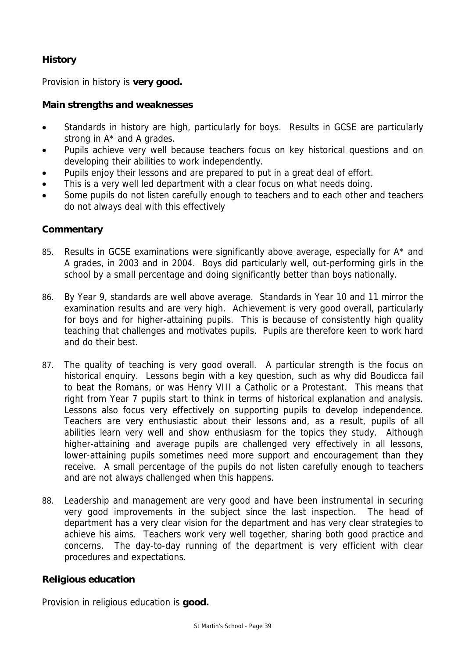# **History**

Provision in history is **very good.**

# **Main strengths and weaknesses**

- Standards in history are high, particularly for boys. Results in GCSE are particularly strong in A\* and A grades.
- Pupils achieve very well because teachers focus on key historical questions and on developing their abilities to work independently.
- Pupils enjoy their lessons and are prepared to put in a great deal of effort.
- This is a very well led department with a clear focus on what needs doing.
- Some pupils do not listen carefully enough to teachers and to each other and teachers do not always deal with this effectively

# **Commentary**

- 85. Results in GCSE examinations were significantly above average, especially for A<sup>\*</sup> and A grades, in 2003 and in 2004. Boys did particularly well, out-performing girls in the school by a small percentage and doing significantly better than boys nationally.
- 86. By Year 9, standards are well above average. Standards in Year 10 and 11 mirror the examination results and are very high. Achievement is very good overall, particularly for boys and for higher-attaining pupils. This is because of consistently high quality teaching that challenges and motivates pupils. Pupils are therefore keen to work hard and do their best.
- 87. The quality of teaching is very good overall. A particular strength is the focus on historical enquiry. Lessons begin with a key question, such as why did Boudicca fail to beat the Romans, or was Henry VIII a Catholic or a Protestant. This means that right from Year 7 pupils start to think in terms of historical explanation and analysis. Lessons also focus very effectively on supporting pupils to develop independence. Teachers are very enthusiastic about their lessons and, as a result, pupils of all abilities learn very well and show enthusiasm for the topics they study. Although higher-attaining and average pupils are challenged very effectively in all lessons, lower-attaining pupils sometimes need more support and encouragement than they receive. A small percentage of the pupils do not listen carefully enough to teachers and are not always challenged when this happens.
- 88. Leadership and management are very good and have been instrumental in securing very good improvements in the subject since the last inspection. The head of department has a very clear vision for the department and has very clear strategies to achieve his aims. Teachers work very well together, sharing both good practice and concerns. The day-to-day running of the department is very efficient with clear procedures and expectations.

# **Religious education**

Provision in religious education is **good.**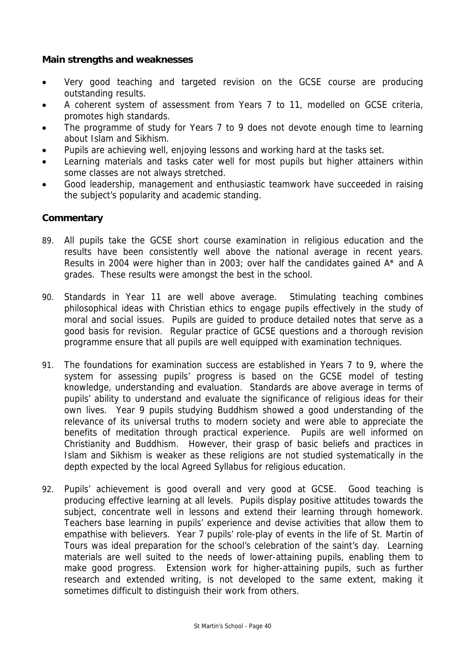# **Main strengths and weaknesses**

- Very good teaching and targeted revision on the GCSE course are producing outstanding results.
- A coherent system of assessment from Years 7 to 11, modelled on GCSE criteria, promotes high standards.
- The programme of study for Years 7 to 9 does not devote enough time to learning about Islam and Sikhism.
- Pupils are achieving well, enjoying lessons and working hard at the tasks set.
- Learning materials and tasks cater well for most pupils but higher attainers within some classes are not always stretched.
- Good leadership, management and enthusiastic teamwork have succeeded in raising the subject's popularity and academic standing.

- 89. All pupils take the GCSE short course examination in religious education and the results have been consistently well above the national average in recent years. Results in 2004 were higher than in 2003; over half the candidates gained A\* and A grades. These results were amongst the best in the school.
- 90. Standards in Year 11 are well above average. Stimulating teaching combines philosophical ideas with Christian ethics to engage pupils effectively in the study of moral and social issues. Pupils are guided to produce detailed notes that serve as a good basis for revision. Regular practice of GCSE questions and a thorough revision programme ensure that all pupils are well equipped with examination techniques.
- 91. The foundations for examination success are established in Years 7 to 9, where the system for assessing pupils' progress is based on the GCSE model of testing knowledge, understanding and evaluation. Standards are above average in terms of pupils' ability to understand and evaluate the significance of religious ideas for their own lives. Year 9 pupils studying Buddhism showed a good understanding of the relevance of its universal truths to modern society and were able to appreciate the benefits of meditation through practical experience. Pupils are well informed on Christianity and Buddhism. However, their grasp of basic beliefs and practices in Islam and Sikhism is weaker as these religions are not studied systematically in the depth expected by the local Agreed Syllabus for religious education.
- 92. Pupils' achievement is good overall and very good at GCSE. Good teaching is producing effective learning at all levels. Pupils display positive attitudes towards the subject, concentrate well in lessons and extend their learning through homework. Teachers base learning in pupils' experience and devise activities that allow them to empathise with believers. Year 7 pupils' role-play of events in the life of St. Martin of Tours was ideal preparation for the school's celebration of the saint's day. Learning materials are well suited to the needs of lower-attaining pupils, enabling them to make good progress. Extension work for higher-attaining pupils, such as further research and extended writing, is not developed to the same extent, making it sometimes difficult to distinguish their work from others.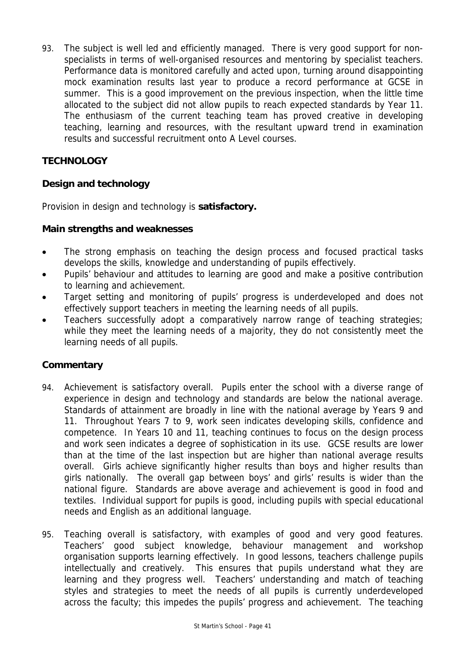93. The subject is well led and efficiently managed. There is very good support for nonspecialists in terms of well-organised resources and mentoring by specialist teachers. Performance data is monitored carefully and acted upon, turning around disappointing mock examination results last year to produce a record performance at GCSE in summer. This is a good improvement on the previous inspection, when the little time allocated to the subject did not allow pupils to reach expected standards by Year 11. The enthusiasm of the current teaching team has proved creative in developing teaching, learning and resources, with the resultant upward trend in examination results and successful recruitment onto A Level courses.

# **TECHNOLOGY**

# **Design and technology**

Provision in design and technology is **satisfactory.**

# **Main strengths and weaknesses**

- The strong emphasis on teaching the design process and focused practical tasks develops the skills, knowledge and understanding of pupils effectively.
- Pupils' behaviour and attitudes to learning are good and make a positive contribution to learning and achievement.
- Target setting and monitoring of pupils' progress is underdeveloped and does not effectively support teachers in meeting the learning needs of all pupils.
- Teachers successfully adopt a comparatively narrow range of teaching strategies; while they meet the learning needs of a majority, they do not consistently meet the learning needs of all pupils.

- 94. Achievement is satisfactory overall. Pupils enter the school with a diverse range of experience in design and technology and standards are below the national average. Standards of attainment are broadly in line with the national average by Years 9 and 11. Throughout Years 7 to 9, work seen indicates developing skills, confidence and competence. In Years 10 and 11, teaching continues to focus on the design process and work seen indicates a degree of sophistication in its use. GCSE results are lower than at the time of the last inspection but are higher than national average results overall. Girls achieve significantly higher results than boys and higher results than girls nationally. The overall gap between boys' and girls' results is wider than the national figure. Standards are above average and achievement is good in food and textiles. Individual support for pupils is good, including pupils with special educational needs and English as an additional language.
- 95. Teaching overall is satisfactory, with examples of good and very good features. Teachers' good subject knowledge, behaviour management and workshop organisation supports learning effectively. In good lessons, teachers challenge pupils intellectually and creatively. This ensures that pupils understand what they are learning and they progress well. Teachers' understanding and match of teaching styles and strategies to meet the needs of all pupils is currently underdeveloped across the faculty; this impedes the pupils' progress and achievement. The teaching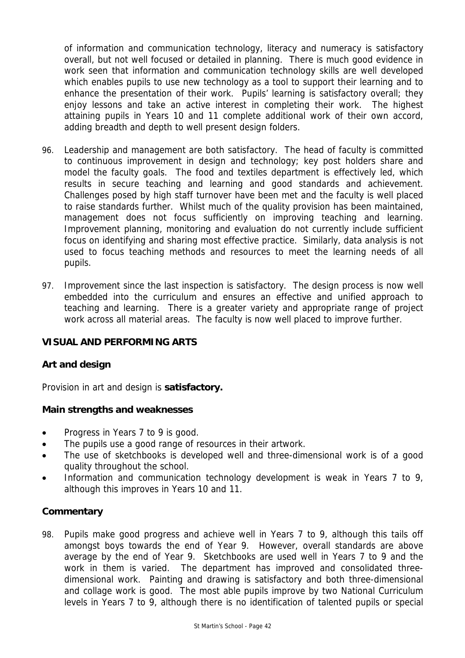of information and communication technology, literacy and numeracy is satisfactory overall, but not well focused or detailed in planning. There is much good evidence in work seen that information and communication technology skills are well developed which enables pupils to use new technology as a tool to support their learning and to enhance the presentation of their work. Pupils' learning is satisfactory overall; they enjoy lessons and take an active interest in completing their work. The highest attaining pupils in Years 10 and 11 complete additional work of their own accord, adding breadth and depth to well present design folders.

- 96. Leadership and management are both satisfactory. The head of faculty is committed to continuous improvement in design and technology; key post holders share and model the faculty goals. The food and textiles department is effectively led, which results in secure teaching and learning and good standards and achievement. Challenges posed by high staff turnover have been met and the faculty is well placed to raise standards further. Whilst much of the quality provision has been maintained, management does not focus sufficiently on improving teaching and learning. Improvement planning, monitoring and evaluation do not currently include sufficient focus on identifying and sharing most effective practice. Similarly, data analysis is not used to focus teaching methods and resources to meet the learning needs of all pupils.
- 97. Improvement since the last inspection is satisfactory. The design process is now well embedded into the curriculum and ensures an effective and unified approach to teaching and learning. There is a greater variety and appropriate range of project work across all material areas. The faculty is now well placed to improve further.

# **VISUAL AND PERFORMING ARTS**

# **Art and design**

Provision in art and design is **satisfactory.**

# **Main strengths and weaknesses**

- Progress in Years 7 to 9 is good.
- The pupils use a good range of resources in their artwork.
- The use of sketchbooks is developed well and three-dimensional work is of a good quality throughout the school.
- Information and communication technology development is weak in Years 7 to 9, although this improves in Years 10 and 11.

# **Commentary**

98. Pupils make good progress and achieve well in Years 7 to 9, although this tails off amongst boys towards the end of Year 9. However, overall standards are above average by the end of Year 9. Sketchbooks are used well in Years 7 to 9 and the work in them is varied. The department has improved and consolidated threedimensional work. Painting and drawing is satisfactory and both three-dimensional and collage work is good. The most able pupils improve by two National Curriculum levels in Years 7 to 9, although there is no identification of talented pupils or special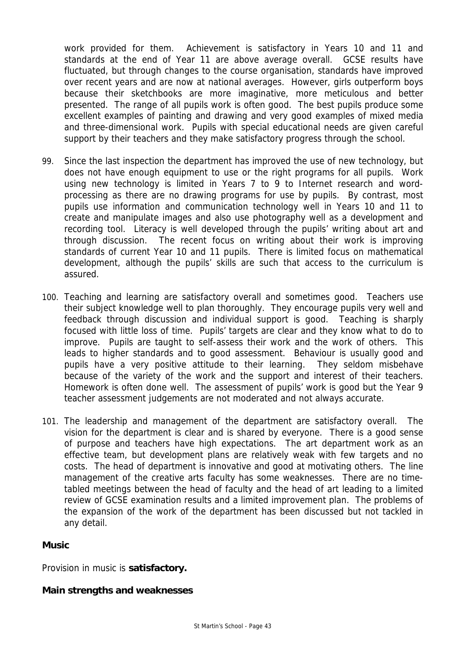work provided for them. Achievement is satisfactory in Years 10 and 11 and standards at the end of Year 11 are above average overall. GCSE results have fluctuated, but through changes to the course organisation, standards have improved over recent years and are now at national averages. However, girls outperform boys because their sketchbooks are more imaginative, more meticulous and better presented. The range of all pupils work is often good. The best pupils produce some excellent examples of painting and drawing and very good examples of mixed media and three-dimensional work. Pupils with special educational needs are given careful support by their teachers and they make satisfactory progress through the school.

- 99. Since the last inspection the department has improved the use of new technology, but does not have enough equipment to use or the right programs for all pupils. Work using new technology is limited in Years 7 to 9 to Internet research and wordprocessing as there are no drawing programs for use by pupils. By contrast, most pupils use information and communication technology well in Years 10 and 11 to create and manipulate images and also use photography well as a development and recording tool. Literacy is well developed through the pupils' writing about art and through discussion. The recent focus on writing about their work is improving standards of current Year 10 and 11 pupils. There is limited focus on mathematical development, although the pupils' skills are such that access to the curriculum is assured.
- 100. Teaching and learning are satisfactory overall and sometimes good. Teachers use their subject knowledge well to plan thoroughly. They encourage pupils very well and feedback through discussion and individual support is good. Teaching is sharply focused with little loss of time. Pupils' targets are clear and they know what to do to improve. Pupils are taught to self-assess their work and the work of others. This leads to higher standards and to good assessment. Behaviour is usually good and pupils have a very positive attitude to their learning. They seldom misbehave because of the variety of the work and the support and interest of their teachers. Homework is often done well. The assessment of pupils' work is good but the Year 9 teacher assessment judgements are not moderated and not always accurate.
- 101. The leadership and management of the department are satisfactory overall. The vision for the department is clear and is shared by everyone. There is a good sense of purpose and teachers have high expectations. The art department work as an effective team, but development plans are relatively weak with few targets and no costs. The head of department is innovative and good at motivating others. The line management of the creative arts faculty has some weaknesses. There are no timetabled meetings between the head of faculty and the head of art leading to a limited review of GCSE examination results and a limited improvement plan. The problems of the expansion of the work of the department has been discussed but not tackled in any detail.

# **Music**

Provision in music is **satisfactory.**

# **Main strengths and weaknesses**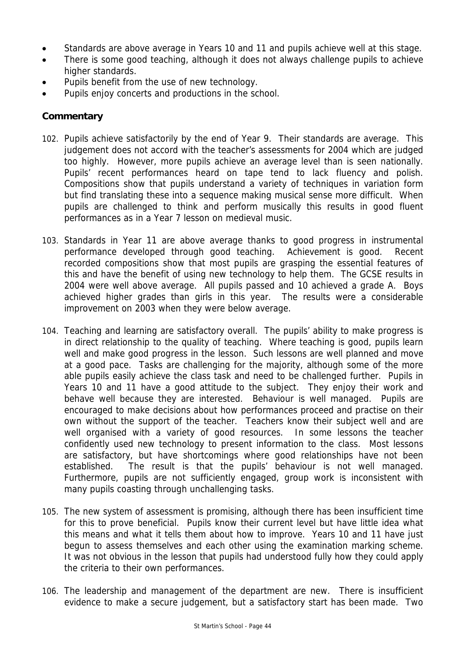- Standards are above average in Years 10 and 11 and pupils achieve well at this stage.
- There is some good teaching, although it does not always challenge pupils to achieve higher standards.
- Pupils benefit from the use of new technology.
- Pupils enjoy concerts and productions in the school.

- 102. Pupils achieve satisfactorily by the end of Year 9. Their standards are average. This judgement does not accord with the teacher's assessments for 2004 which are judged too highly. However, more pupils achieve an average level than is seen nationally. Pupils' recent performances heard on tape tend to lack fluency and polish. Compositions show that pupils understand a variety of techniques in variation form but find translating these into a sequence making musical sense more difficult. When pupils are challenged to think and perform musically this results in good fluent performances as in a Year 7 lesson on medieval music.
- 103. Standards in Year 11 are above average thanks to good progress in instrumental performance developed through good teaching. Achievement is good. Recent recorded compositions show that most pupils are grasping the essential features of this and have the benefit of using new technology to help them. The GCSE results in 2004 were well above average. All pupils passed and 10 achieved a grade A. Boys achieved higher grades than girls in this year. The results were a considerable improvement on 2003 when they were below average.
- 104. Teaching and learning are satisfactory overall. The pupils' ability to make progress is in direct relationship to the quality of teaching. Where teaching is good, pupils learn well and make good progress in the lesson. Such lessons are well planned and move at a good pace. Tasks are challenging for the majority, although some of the more able pupils easily achieve the class task and need to be challenged further. Pupils in Years 10 and 11 have a good attitude to the subject. They enjoy their work and behave well because they are interested. Behaviour is well managed. Pupils are encouraged to make decisions about how performances proceed and practise on their own without the support of the teacher. Teachers know their subject well and are well organised with a variety of good resources. In some lessons the teacher confidently used new technology to present information to the class. Most lessons are satisfactory, but have shortcomings where good relationships have not been established. The result is that the pupils' behaviour is not well managed. Furthermore, pupils are not sufficiently engaged, group work is inconsistent with many pupils coasting through unchallenging tasks.
- 105. The new system of assessment is promising, although there has been insufficient time for this to prove beneficial. Pupils know their current level but have little idea what this means and what it tells them about how to improve. Years 10 and 11 have just begun to assess themselves and each other using the examination marking scheme. It was not obvious in the lesson that pupils had understood fully how they could apply the criteria to their own performances.
- 106. The leadership and management of the department are new. There is insufficient evidence to make a secure judgement, but a satisfactory start has been made. Two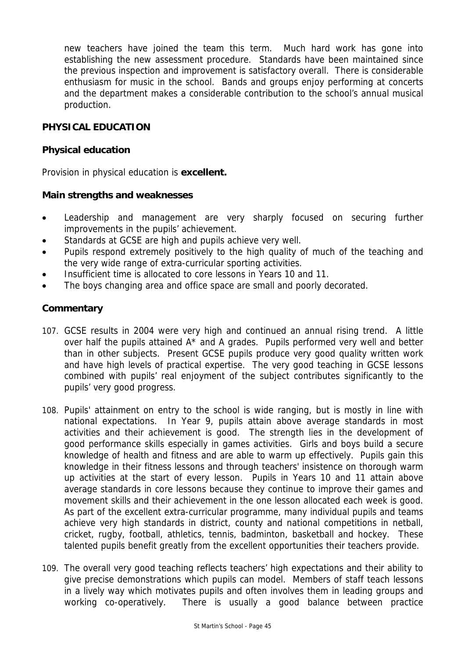new teachers have joined the team this term. Much hard work has gone into establishing the new assessment procedure. Standards have been maintained since the previous inspection and improvement is satisfactory overall. There is considerable enthusiasm for music in the school. Bands and groups enjoy performing at concerts and the department makes a considerable contribution to the school's annual musical production.

# **PHYSICAL EDUCATION**

# **Physical education**

Provision in physical education is **excellent.**

# **Main strengths and weaknesses**

- Leadership and management are very sharply focused on securing further improvements in the pupils' achievement.
- Standards at GCSE are high and pupils achieve very well.
- Pupils respond extremely positively to the high quality of much of the teaching and the very wide range of extra-curricular sporting activities.
- Insufficient time is allocated to core lessons in Years 10 and 11.
- The boys changing area and office space are small and poorly decorated.

- 107. GCSE results in 2004 were very high and continued an annual rising trend. A little over half the pupils attained A\* and A grades. Pupils performed very well and better than in other subjects. Present GCSE pupils produce very good quality written work and have high levels of practical expertise. The very good teaching in GCSE lessons combined with pupils' real enjoyment of the subject contributes significantly to the pupils' very good progress.
- 108. Pupils' attainment on entry to the school is wide ranging, but is mostly in line with national expectations. In Year 9, pupils attain above average standards in most activities and their achievement is good. The strength lies in the development of good performance skills especially in games activities. Girls and boys build a secure knowledge of health and fitness and are able to warm up effectively. Pupils gain this knowledge in their fitness lessons and through teachers' insistence on thorough warm up activities at the start of every lesson. Pupils in Years 10 and 11 attain above average standards in core lessons because they continue to improve their games and movement skills and their achievement in the one lesson allocated each week is good. As part of the excellent extra-curricular programme, many individual pupils and teams achieve very high standards in district, county and national competitions in netball, cricket, rugby, football, athletics, tennis, badminton, basketball and hockey. These talented pupils benefit greatly from the excellent opportunities their teachers provide.
- 109. The overall very good teaching reflects teachers' high expectations and their ability to give precise demonstrations which pupils can model. Members of staff teach lessons in a lively way which motivates pupils and often involves them in leading groups and working co-operatively. There is usually a good balance between practice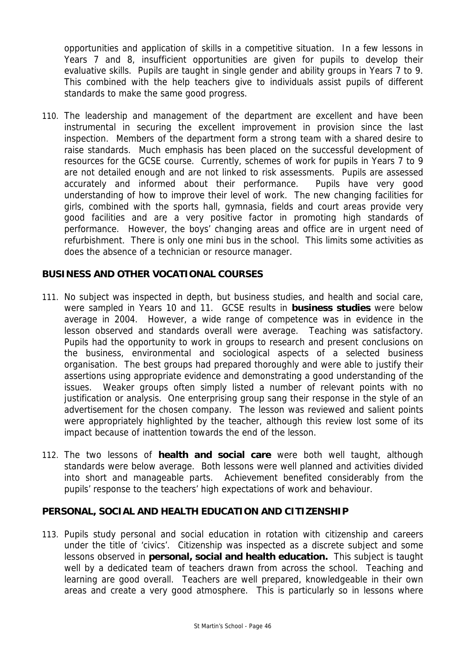opportunities and application of skills in a competitive situation. In a few lessons in Years 7 and 8, insufficient opportunities are given for pupils to develop their evaluative skills. Pupils are taught in single gender and ability groups in Years 7 to 9. This combined with the help teachers give to individuals assist pupils of different standards to make the same good progress.

110. The leadership and management of the department are excellent and have been instrumental in securing the excellent improvement in provision since the last inspection. Members of the department form a strong team with a shared desire to raise standards. Much emphasis has been placed on the successful development of resources for the GCSE course. Currently, schemes of work for pupils in Years 7 to 9 are not detailed enough and are not linked to risk assessments. Pupils are assessed accurately and informed about their performance. Pupils have very good understanding of how to improve their level of work. The new changing facilities for girls, combined with the sports hall, gymnasia, fields and court areas provide very good facilities and are a very positive factor in promoting high standards of performance. However, the boys' changing areas and office are in urgent need of refurbishment. There is only one mini bus in the school. This limits some activities as does the absence of a technician or resource manager.

# **BUSINESS AND OTHER VOCATIONAL COURSES**

- 111. No subject was inspected in depth, but business studies, and health and social care, were sampled in Years 10 and 11. GCSE results in **business studies** were below average in 2004. However, a wide range of competence was in evidence in the lesson observed and standards overall were average. Teaching was satisfactory. Pupils had the opportunity to work in groups to research and present conclusions on the business, environmental and sociological aspects of a selected business organisation. The best groups had prepared thoroughly and were able to justify their assertions using appropriate evidence and demonstrating a good understanding of the issues. Weaker groups often simply listed a number of relevant points with no justification or analysis. One enterprising group sang their response in the style of an advertisement for the chosen company. The lesson was reviewed and salient points were appropriately highlighted by the teacher, although this review lost some of its impact because of inattention towards the end of the lesson.
- 112. The two lessons of **health and social care** were both well taught, although standards were below average. Both lessons were well planned and activities divided into short and manageable parts. Achievement benefited considerably from the pupils' response to the teachers' high expectations of work and behaviour.

#### **PERSONAL, SOCIAL AND HEALTH EDUCATION AND CITIZENSHIP**

113. Pupils study personal and social education in rotation with citizenship and careers under the title of 'civics'. Citizenship was inspected as a discrete subject and some lessons observed in **personal, social and health education.** This subject is taught well by a dedicated team of teachers drawn from across the school. Teaching and learning are good overall. Teachers are well prepared, knowledgeable in their own areas and create a very good atmosphere. This is particularly so in lessons where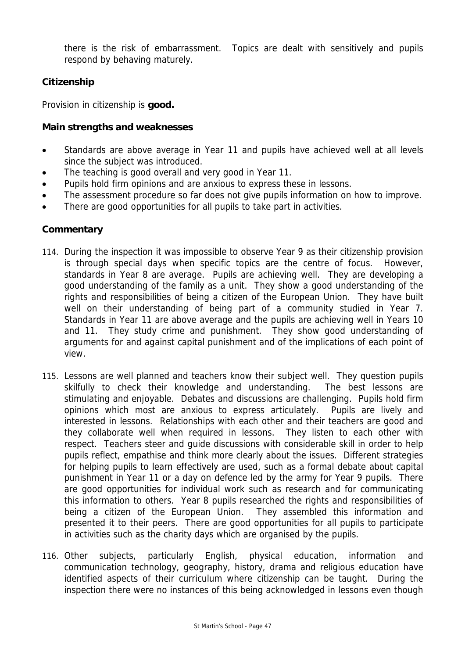there is the risk of embarrassment. Topics are dealt with sensitively and pupils respond by behaving maturely.

# **Citizenship**

Provision in citizenship is **good.**

# **Main strengths and weaknesses**

- Standards are above average in Year 11 and pupils have achieved well at all levels since the subject was introduced.
- The teaching is good overall and very good in Year 11.
- Pupils hold firm opinions and are anxious to express these in lessons.
- The assessment procedure so far does not give pupils information on how to improve.
- There are good opportunities for all pupils to take part in activities.

- 114. During the inspection it was impossible to observe Year 9 as their citizenship provision is through special days when specific topics are the centre of focus. However, standards in Year 8 are average. Pupils are achieving well. They are developing a good understanding of the family as a unit. They show a good understanding of the rights and responsibilities of being a citizen of the European Union. They have built well on their understanding of being part of a community studied in Year 7. Standards in Year 11 are above average and the pupils are achieving well in Years 10 and 11. They study crime and punishment. They show good understanding of arguments for and against capital punishment and of the implications of each point of view.
- 115. Lessons are well planned and teachers know their subject well. They question pupils skilfully to check their knowledge and understanding. The best lessons are stimulating and enjoyable. Debates and discussions are challenging. Pupils hold firm opinions which most are anxious to express articulately. Pupils are lively and interested in lessons. Relationships with each other and their teachers are good and they collaborate well when required in lessons. They listen to each other with respect. Teachers steer and guide discussions with considerable skill in order to help pupils reflect, empathise and think more clearly about the issues. Different strategies for helping pupils to learn effectively are used, such as a formal debate about capital punishment in Year 11 or a day on defence led by the army for Year 9 pupils. There are good opportunities for individual work such as research and for communicating this information to others. Year 8 pupils researched the rights and responsibilities of being a citizen of the European Union. They assembled this information and presented it to their peers. There are good opportunities for all pupils to participate in activities such as the charity days which are organised by the pupils.
- 116. Other subjects, particularly English, physical education, information and communication technology, geography, history, drama and religious education have identified aspects of their curriculum where citizenship can be taught. During the inspection there were no instances of this being acknowledged in lessons even though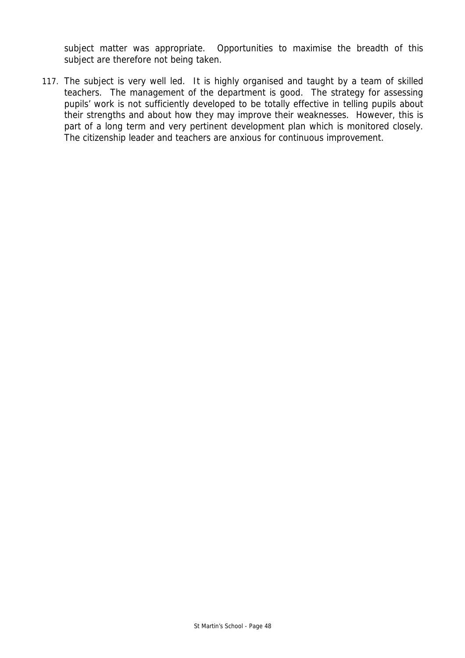subject matter was appropriate. Opportunities to maximise the breadth of this subject are therefore not being taken.

117. The subject is very well led. It is highly organised and taught by a team of skilled teachers. The management of the department is good. The strategy for assessing pupils' work is not sufficiently developed to be totally effective in telling pupils about their strengths and about how they may improve their weaknesses. However, this is part of a long term and very pertinent development plan which is monitored closely. The citizenship leader and teachers are anxious for continuous improvement.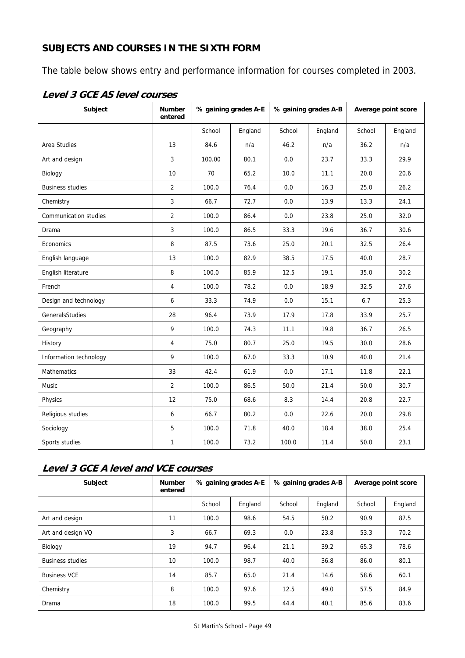# **SUBJECTS AND COURSES IN THE SIXTH FORM**

The table below shows entry and performance information for courses completed in 2003.

| Subject                 | <b>Number</b><br>entered | % gaining grades A-E |         | % gaining grades A-B |         | Average point score |         |
|-------------------------|--------------------------|----------------------|---------|----------------------|---------|---------------------|---------|
|                         |                          | School               | England | School               | England | School              | England |
| Area Studies            | 13                       | 84.6                 | n/a     | 46.2                 | n/a     | 36.2                | n/a     |
| Art and design          | 3                        | 100.00               | 80.1    | 0.0                  | 23.7    | 33.3                | 29.9    |
| Biology                 | 10                       | 70                   | 65.2    | 10.0                 | 11.1    | 20.0                | 20.6    |
| <b>Business studies</b> | $\overline{2}$           | 100.0                | 76.4    | 0.0                  | 16.3    | 25.0                | 26.2    |
| Chemistry               | $\overline{3}$           | 66.7                 | 72.7    | 0.0                  | 13.9    | 13.3                | 24.1    |
| Communication studies   | $\overline{2}$           | 100.0                | 86.4    | 0.0                  | 23.8    | 25.0                | 32.0    |
| Drama                   | $\mathbf{3}$             | 100.0                | 86.5    | 33.3                 | 19.6    | 36.7                | 30.6    |
| Economics               | 8                        | 87.5                 | 73.6    | 25.0                 | 20.1    | 32.5                | 26.4    |
| English language        | 13                       | 100.0                | 82.9    | 38.5                 | 17.5    | 40.0                | 28.7    |
| English literature      | 8                        | 100.0                | 85.9    | 12.5                 | 19.1    | 35.0                | 30.2    |
| French                  | $\overline{4}$           | 100.0                | 78.2    | 0.0                  | 18.9    | 32.5                | 27.6    |
| Design and technology   | 6                        | 33.3                 | 74.9    | 0.0                  | 15.1    | 6.7                 | 25.3    |
| GeneralsStudies         | 28                       | 96.4                 | 73.9    | 17.9                 | 17.8    | 33.9                | 25.7    |
| Geography               | 9                        | 100.0                | 74.3    | 11.1                 | 19.8    | 36.7                | 26.5    |
| History                 | $\overline{4}$           | 75.0                 | 80.7    | 25.0                 | 19.5    | 30.0                | 28.6    |
| Information technology  | 9                        | 100.0                | 67.0    | 33.3                 | 10.9    | 40.0                | 21.4    |
| <b>Mathematics</b>      | 33                       | 42.4                 | 61.9    | 0.0                  | 17.1    | 11.8                | 22.1    |
| Music                   | $\overline{2}$           | 100.0                | 86.5    | 50.0                 | 21.4    | 50.0                | 30.7    |
| Physics                 | 12                       | 75.0                 | 68.6    | 8.3                  | 14.4    | 20.8                | 22.7    |
| Religious studies       | 6                        | 66.7                 | 80.2    | 0.0                  | 22.6    | 20.0                | 29.8    |
| Sociology               | 5                        | 100.0                | 71.8    | 40.0                 | 18.4    | 38.0                | 25.4    |
| Sports studies          | $\mathbf{1}$             | 100.0                | 73.2    | 100.0                | 11.4    | 50.0                | 23.1    |

# **Level 3 GCE AS level courses**

# **Level 3 GCE A level and VCE courses**

| Subject                 | <b>Number</b><br>entered | % gaining grades A-E |         | % gaining grades A-B |         | Average point score |         |
|-------------------------|--------------------------|----------------------|---------|----------------------|---------|---------------------|---------|
|                         |                          | School               | England | School               | England | School              | England |
| Art and design          | 11                       | 100.0                | 98.6    | 54.5                 | 50.2    | 90.9                | 87.5    |
| Art and design VQ       | 3                        | 66.7                 | 69.3    | 0.0                  | 23.8    | 53.3                | 70.2    |
| Biology                 | 19                       | 94.7                 | 96.4    | 21.1                 | 39.2    | 65.3                | 78.6    |
| <b>Business studies</b> | 10                       | 100.0                | 98.7    | 40.0                 | 36.8    | 86.0                | 80.1    |
| <b>Business VCE</b>     | 14                       | 85.7                 | 65.0    | 21.4                 | 14.6    | 58.6                | 60.1    |
| Chemistry               | 8                        | 100.0                | 97.6    | 12.5                 | 49.0    | 57.5                | 84.9    |
| Drama                   | 18                       | 100.0                | 99.5    | 44.4                 | 40.1    | 85.6                | 83.6    |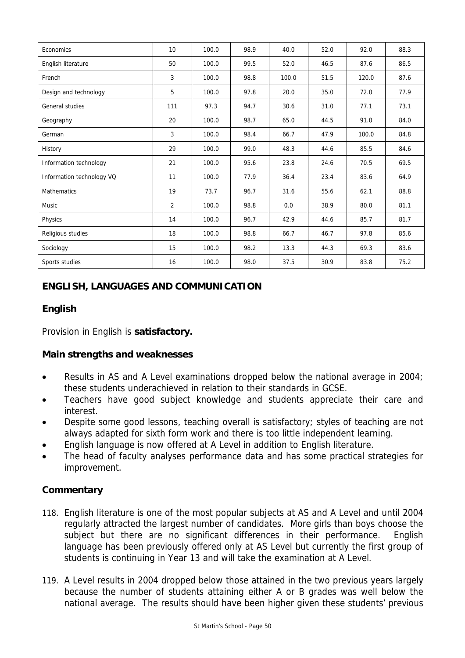| Economics                 | 10             | 100.0 | 98.9 | 40.0  | 52.0 | 92.0  | 88.3 |
|---------------------------|----------------|-------|------|-------|------|-------|------|
| English literature        | 50             | 100.0 | 99.5 | 52.0  | 46.5 | 87.6  | 86.5 |
| French                    | 3              | 100.0 | 98.8 | 100.0 | 51.5 | 120.0 | 87.6 |
| Design and technology     | 5              | 100.0 | 97.8 | 20.0  | 35.0 | 72.0  | 77.9 |
| General studies           | 111            | 97.3  | 94.7 | 30.6  | 31.0 | 77.1  | 73.1 |
| Geography                 | 20             | 100.0 | 98.7 | 65.0  | 44.5 | 91.0  | 84.0 |
| German                    | 3              | 100.0 | 98.4 | 66.7  | 47.9 | 100.0 | 84.8 |
| History                   | 29             | 100.0 | 99.0 | 48.3  | 44.6 | 85.5  | 84.6 |
| Information technology    | 21             | 100.0 | 95.6 | 23.8  | 24.6 | 70.5  | 69.5 |
| Information technology VQ | 11             | 100.0 | 77.9 | 36.4  | 23.4 | 83.6  | 64.9 |
| Mathematics               | 19             | 73.7  | 96.7 | 31.6  | 55.6 | 62.1  | 88.8 |
| Music                     | $\overline{2}$ | 100.0 | 98.8 | 0.0   | 38.9 | 80.0  | 81.1 |
| Physics                   | 14             | 100.0 | 96.7 | 42.9  | 44.6 | 85.7  | 81.7 |
| Religious studies         | 18             | 100.0 | 98.8 | 66.7  | 46.7 | 97.8  | 85.6 |
| Sociology                 | 15             | 100.0 | 98.2 | 13.3  | 44.3 | 69.3  | 83.6 |
| Sports studies            | 16             | 100.0 | 98.0 | 37.5  | 30.9 | 83.8  | 75.2 |

# **ENGLISH, LANGUAGES AND COMMUNICATION**

# **English**

Provision in English is **satisfactory.**

# **Main strengths and weaknesses**

- Results in AS and A Level examinations dropped below the national average in 2004; these students underachieved in relation to their standards in GCSE.
- Teachers have good subject knowledge and students appreciate their care and interest.
- Despite some good lessons, teaching overall is satisfactory; styles of teaching are not always adapted for sixth form work and there is too little independent learning.
- English language is now offered at A Level in addition to English literature.
- The head of faculty analyses performance data and has some practical strategies for improvement.

- 118. English literature is one of the most popular subjects at AS and A Level and until 2004 regularly attracted the largest number of candidates. More girls than boys choose the subject but there are no significant differences in their performance. English language has been previously offered only at AS Level but currently the first group of students is continuing in Year 13 and will take the examination at A Level.
- 119. A Level results in 2004 dropped below those attained in the two previous years largely because the number of students attaining either A or B grades was well below the national average. The results should have been higher given these students' previous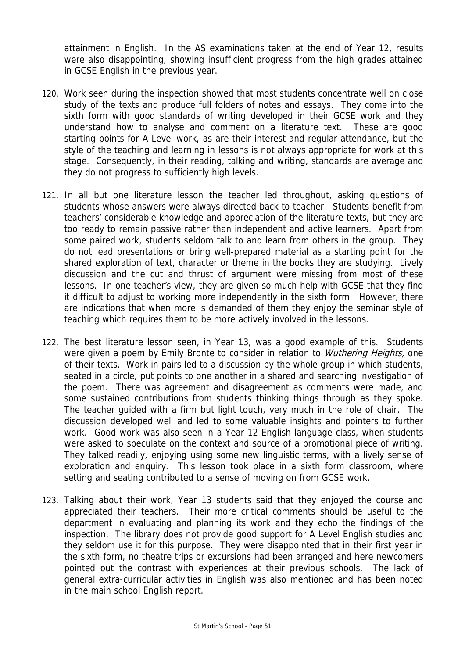attainment in English. In the AS examinations taken at the end of Year 12, results were also disappointing, showing insufficient progress from the high grades attained in GCSE English in the previous year.

- 120. Work seen during the inspection showed that most students concentrate well on close study of the texts and produce full folders of notes and essays. They come into the sixth form with good standards of writing developed in their GCSE work and they understand how to analyse and comment on a literature text. These are good starting points for A Level work, as are their interest and regular attendance, but the style of the teaching and learning in lessons is not always appropriate for work at this stage. Consequently, in their reading, talking and writing, standards are average and they do not progress to sufficiently high levels.
- 121. In all but one literature lesson the teacher led throughout, asking questions of students whose answers were always directed back to teacher. Students benefit from teachers' considerable knowledge and appreciation of the literature texts, but they are too ready to remain passive rather than independent and active learners. Apart from some paired work, students seldom talk to and learn from others in the group. They do not lead presentations or bring well-prepared material as a starting point for the shared exploration of text, character or theme in the books they are studying. Lively discussion and the cut and thrust of argument were missing from most of these lessons. In one teacher's view, they are given so much help with GCSE that they find it difficult to adjust to working more independently in the sixth form. However, there are indications that when more is demanded of them they enjoy the seminar style of teaching which requires them to be more actively involved in the lessons.
- 122. The best literature lesson seen, in Year 13, was a good example of this. Students were given a poem by Emily Bronte to consider in relation to *Wuthering Heights*, one of their texts. Work in pairs led to a discussion by the whole group in which students, seated in a circle, put points to one another in a shared and searching investigation of the poem. There was agreement and disagreement as comments were made, and some sustained contributions from students thinking things through as they spoke. The teacher guided with a firm but light touch, very much in the role of chair. The discussion developed well and led to some valuable insights and pointers to further work. Good work was also seen in a Year 12 English language class, when students were asked to speculate on the context and source of a promotional piece of writing. They talked readily, enjoying using some new linguistic terms, with a lively sense of exploration and enquiry. This lesson took place in a sixth form classroom, where setting and seating contributed to a sense of moving on from GCSE work.
- 123. Talking about their work, Year 13 students said that they enjoyed the course and appreciated their teachers. Their more critical comments should be useful to the department in evaluating and planning its work and they echo the findings of the inspection. The library does not provide good support for A Level English studies and they seldom use it for this purpose. They were disappointed that in their first year in the sixth form, no theatre trips or excursions had been arranged and here newcomers pointed out the contrast with experiences at their previous schools. The lack of general extra-curricular activities in English was also mentioned and has been noted in the main school English report.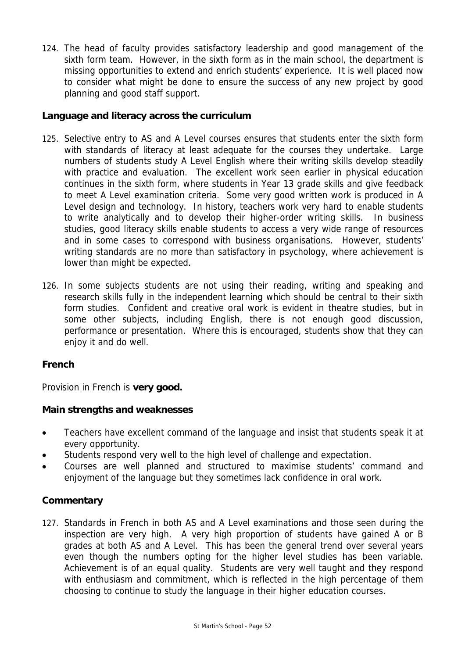124. The head of faculty provides satisfactory leadership and good management of the sixth form team. However, in the sixth form as in the main school, the department is missing opportunities to extend and enrich students' experience. It is well placed now to consider what might be done to ensure the success of any new project by good planning and good staff support.

# **Language and literacy across the curriculum**

- 125. Selective entry to AS and A Level courses ensures that students enter the sixth form with standards of literacy at least adequate for the courses they undertake. Large numbers of students study A Level English where their writing skills develop steadily with practice and evaluation. The excellent work seen earlier in physical education continues in the sixth form, where students in Year 13 grade skills and give feedback to meet A Level examination criteria. Some very good written work is produced in A Level design and technology. In history, teachers work very hard to enable students to write analytically and to develop their higher-order writing skills. In business studies, good literacy skills enable students to access a very wide range of resources and in some cases to correspond with business organisations. However, students' writing standards are no more than satisfactory in psychology, where achievement is lower than might be expected.
- 126. In some subjects students are not using their reading, writing and speaking and research skills fully in the independent learning which should be central to their sixth form studies. Confident and creative oral work is evident in theatre studies, but in some other subjects, including English, there is not enough good discussion, performance or presentation. Where this is encouraged, students show that they can enjoy it and do well.

# **French**

Provision in French is **very good.**

# **Main strengths and weaknesses**

- Teachers have excellent command of the language and insist that students speak it at every opportunity.
- Students respond very well to the high level of challenge and expectation.
- Courses are well planned and structured to maximise students' command and enjoyment of the language but they sometimes lack confidence in oral work.

# **Commentary**

127. Standards in French in both AS and A Level examinations and those seen during the inspection are very high. A very high proportion of students have gained A or B grades at both AS and A Level. This has been the general trend over several years even though the numbers opting for the higher level studies has been variable. Achievement is of an equal quality. Students are very well taught and they respond with enthusiasm and commitment, which is reflected in the high percentage of them choosing to continue to study the language in their higher education courses.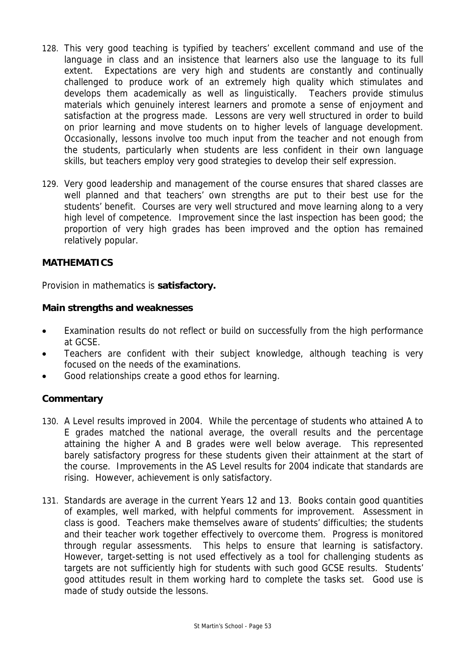- 128. This very good teaching is typified by teachers' excellent command and use of the language in class and an insistence that learners also use the language to its full extent. Expectations are very high and students are constantly and continually challenged to produce work of an extremely high quality which stimulates and develops them academically as well as linguistically. Teachers provide stimulus materials which genuinely interest learners and promote a sense of enjoyment and satisfaction at the progress made. Lessons are very well structured in order to build on prior learning and move students on to higher levels of language development. Occasionally, lessons involve too much input from the teacher and not enough from the students, particularly when students are less confident in their own language skills, but teachers employ very good strategies to develop their self expression.
- 129. Very good leadership and management of the course ensures that shared classes are well planned and that teachers' own strengths are put to their best use for the students' benefit. Courses are very well structured and move learning along to a very high level of competence. Improvement since the last inspection has been good; the proportion of very high grades has been improved and the option has remained relatively popular.

# **MATHEMATICS**

Provision in mathematics is **satisfactory.**

# **Main strengths and weaknesses**

- Examination results do not reflect or build on successfully from the high performance at GCSE.
- Teachers are confident with their subject knowledge, although teaching is very focused on the needs of the examinations.
- Good relationships create a good ethos for learning.

- 130. A Level results improved in 2004. While the percentage of students who attained A to E grades matched the national average, the overall results and the percentage attaining the higher A and B grades were well below average. This represented barely satisfactory progress for these students given their attainment at the start of the course. Improvements in the AS Level results for 2004 indicate that standards are rising. However, achievement is only satisfactory.
- 131. Standards are average in the current Years 12 and 13. Books contain good quantities of examples, well marked, with helpful comments for improvement. Assessment in class is good. Teachers make themselves aware of students' difficulties; the students and their teacher work together effectively to overcome them. Progress is monitored through regular assessments. This helps to ensure that learning is satisfactory. However, target-setting is not used effectively as a tool for challenging students as targets are not sufficiently high for students with such good GCSE results. Students' good attitudes result in them working hard to complete the tasks set. Good use is made of study outside the lessons.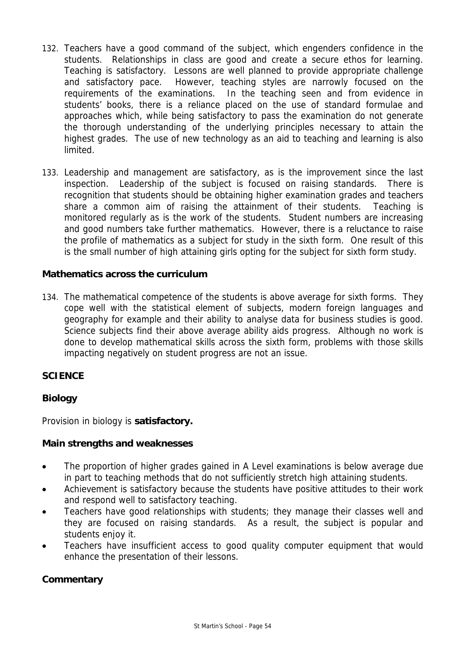- 132. Teachers have a good command of the subject, which engenders confidence in the students. Relationships in class are good and create a secure ethos for learning. Teaching is satisfactory.Lessons are well planned to provide appropriate challenge and satisfactory pace. However, teaching styles are narrowly focused on the requirements of the examinations. In the teaching seen and from evidence in students' books, there is a reliance placed on the use of standard formulae and approaches which, while being satisfactory to pass the examination do not generate the thorough understanding of the underlying principles necessary to attain the highest grades. The use of new technology as an aid to teaching and learning is also limited.
- 133. Leadership and management are satisfactory, as is the improvement since the last inspection. Leadership of the subject is focused on raising standards. There is recognition that students should be obtaining higher examination grades and teachers share a common aim of raising the attainment of their students. Teaching is monitored regularly as is the work of the students. Student numbers are increasing and good numbers take further mathematics. However, there is a reluctance to raise the profile of mathematics as a subject for study in the sixth form. One result of this is the small number of high attaining girls opting for the subject for sixth form study.

# **Mathematics across the curriculum**

134. The mathematical competence of the students is above average for sixth forms. They cope well with the statistical element of subjects, modern foreign languages and geography for example and their ability to analyse data for business studies is good. Science subjects find their above average ability aids progress. Although no work is done to develop mathematical skills across the sixth form, problems with those skills impacting negatively on student progress are not an issue.

# **SCIENCE**

# **Biology**

Provision in biology is **satisfactory.**

# **Main strengths and weaknesses**

- The proportion of higher grades gained in A Level examinations is below average due in part to teaching methods that do not sufficiently stretch high attaining students.
- Achievement is satisfactory because the students have positive attitudes to their work and respond well to satisfactory teaching.
- Teachers have good relationships with students; they manage their classes well and they are focused on raising standards. As a result, the subject is popular and students enjoy it.
- Teachers have insufficient access to good quality computer equipment that would enhance the presentation of their lessons.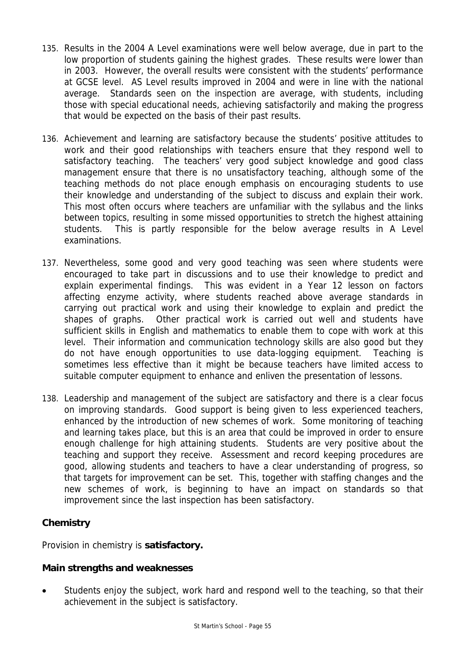- 135. Results in the 2004 A Level examinations were well below average, due in part to the low proportion of students gaining the highest grades. These results were lower than in 2003. However, the overall results were consistent with the students' performance at GCSE level. AS Level results improved in 2004 and were in line with the national average. Standards seen on the inspection are average, with students, including those with special educational needs, achieving satisfactorily and making the progress that would be expected on the basis of their past results.
- 136. Achievement and learning are satisfactory because the students' positive attitudes to work and their good relationships with teachers ensure that they respond well to satisfactory teaching. The teachers' very good subject knowledge and good class management ensure that there is no unsatisfactory teaching, although some of the teaching methods do not place enough emphasis on encouraging students to use their knowledge and understanding of the subject to discuss and explain their work. This most often occurs where teachers are unfamiliar with the syllabus and the links between topics, resulting in some missed opportunities to stretch the highest attaining students. This is partly responsible for the below average results in A Level examinations.
- 137. Nevertheless, some good and very good teaching was seen where students were encouraged to take part in discussions and to use their knowledge to predict and explain experimental findings. This was evident in a Year 12 lesson on factors affecting enzyme activity, where students reached above average standards in carrying out practical work and using their knowledge to explain and predict the shapes of graphs. Other practical work is carried out well and students have sufficient skills in English and mathematics to enable them to cope with work at this level. Their information and communication technology skills are also good but they do not have enough opportunities to use data-logging equipment. Teaching is sometimes less effective than it might be because teachers have limited access to suitable computer equipment to enhance and enliven the presentation of lessons.
- 138. Leadership and management of the subject are satisfactory and there is a clear focus on improving standards. Good support is being given to less experienced teachers, enhanced by the introduction of new schemes of work. Some monitoring of teaching and learning takes place, but this is an area that could be improved in order to ensure enough challenge for high attaining students. Students are very positive about the teaching and support they receive. Assessment and record keeping procedures are good, allowing students and teachers to have a clear understanding of progress, so that targets for improvement can be set. This, together with staffing changes and the new schemes of work, is beginning to have an impact on standards so that improvement since the last inspection has been satisfactory.

# **Chemistry**

Provision in chemistry is **satisfactory.**

# **Main strengths and weaknesses**

Students enjoy the subject, work hard and respond well to the teaching, so that their achievement in the subject is satisfactory.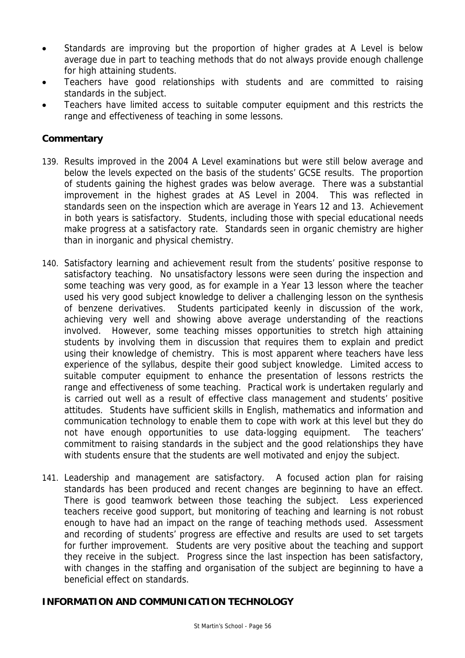- Standards are improving but the proportion of higher grades at A Level is below average due in part to teaching methods that do not always provide enough challenge for high attaining students.
- Teachers have good relationships with students and are committed to raising standards in the subject.
- Teachers have limited access to suitable computer equipment and this restricts the range and effectiveness of teaching in some lessons.

# **Commentary**

- 139. Results improved in the 2004 A Level examinations but were still below average and below the levels expected on the basis of the students' GCSE results. The proportion of students gaining the highest grades was below average. There was a substantial improvement in the highest grades at AS Level in 2004. This was reflected in standards seen on the inspection which are average in Years 12 and 13. Achievement in both years is satisfactory. Students, including those with special educational needs make progress at a satisfactory rate. Standards seen in organic chemistry are higher than in inorganic and physical chemistry.
- 140. Satisfactory learning and achievement result from the students' positive response to satisfactory teaching. No unsatisfactory lessons were seen during the inspection and some teaching was very good, as for example in a Year 13 lesson where the teacher used his very good subject knowledge to deliver a challenging lesson on the synthesis of benzene derivatives. Students participated keenly in discussion of the work, achieving very well and showing above average understanding of the reactions involved. However, some teaching misses opportunities to stretch high attaining students by involving them in discussion that requires them to explain and predict using their knowledge of chemistry. This is most apparent where teachers have less experience of the syllabus, despite their good subject knowledge. Limited access to suitable computer equipment to enhance the presentation of lessons restricts the range and effectiveness of some teaching. Practical work is undertaken regularly and is carried out well as a result of effective class management and students' positive attitudes. Students have sufficient skills in English, mathematics and information and communication technology to enable them to cope with work at this level but they do not have enough opportunities to use data-logging equipment. The teachers' commitment to raising standards in the subject and the good relationships they have with students ensure that the students are well motivated and enjoy the subject.
- 141. Leadership and management are satisfactory. A focused action plan for raising standards has been produced and recent changes are beginning to have an effect. There is good teamwork between those teaching the subject. Less experienced teachers receive good support, but monitoring of teaching and learning is not robust enough to have had an impact on the range of teaching methods used. Assessment and recording of students' progress are effective and results are used to set targets for further improvement. Students are very positive about the teaching and support they receive in the subject. Progress since the last inspection has been satisfactory, with changes in the staffing and organisation of the subject are beginning to have a beneficial effect on standards.

# **INFORMATION AND COMMUNICATION TECHNOLOGY**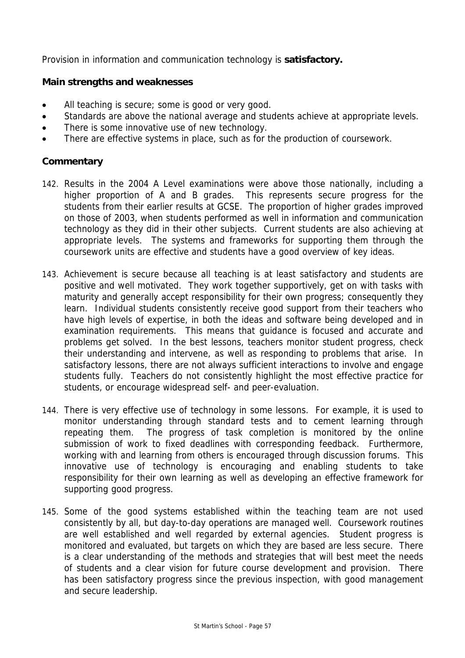Provision in information and communication technology is **satisfactory.**

# **Main strengths and weaknesses**

- All teaching is secure; some is good or very good.
- Standards are above the national average and students achieve at appropriate levels.
- There is some innovative use of new technology.
- There are effective systems in place, such as for the production of coursework.

- 142. Results in the 2004 A Level examinations were above those nationally, including a higher proportion of A and B grades. This represents secure progress for the students from their earlier results at GCSE. The proportion of higher grades improved on those of 2003, when students performed as well in information and communication technology as they did in their other subjects. Current students are also achieving at appropriate levels. The systems and frameworks for supporting them through the coursework units are effective and students have a good overview of key ideas.
- 143. Achievement is secure because all teaching is at least satisfactory and students are positive and well motivated. They work together supportively, get on with tasks with maturity and generally accept responsibility for their own progress; consequently they learn. Individual students consistently receive good support from their teachers who have high levels of expertise, in both the ideas and software being developed and in examination requirements. This means that guidance is focused and accurate and problems get solved. In the best lessons, teachers monitor student progress, check their understanding and intervene, as well as responding to problems that arise. In satisfactory lessons, there are not always sufficient interactions to involve and engage students fully. Teachers do not consistently highlight the most effective practice for students, or encourage widespread self- and peer-evaluation.
- 144. There is very effective use of technology in some lessons. For example, it is used to monitor understanding through standard tests and to cement learning through repeating them. The progress of task completion is monitored by the online submission of work to fixed deadlines with corresponding feedback. Furthermore, working with and learning from others is encouraged through discussion forums. This innovative use of technology is encouraging and enabling students to take responsibility for their own learning as well as developing an effective framework for supporting good progress.
- 145. Some of the good systems established within the teaching team are not used consistently by all, but day-to-day operations are managed well. Coursework routines are well established and well regarded by external agencies. Student progress is monitored and evaluated, but targets on which they are based are less secure. There is a clear understanding of the methods and strategies that will best meet the needs of students and a clear vision for future course development and provision. There has been satisfactory progress since the previous inspection, with good management and secure leadership.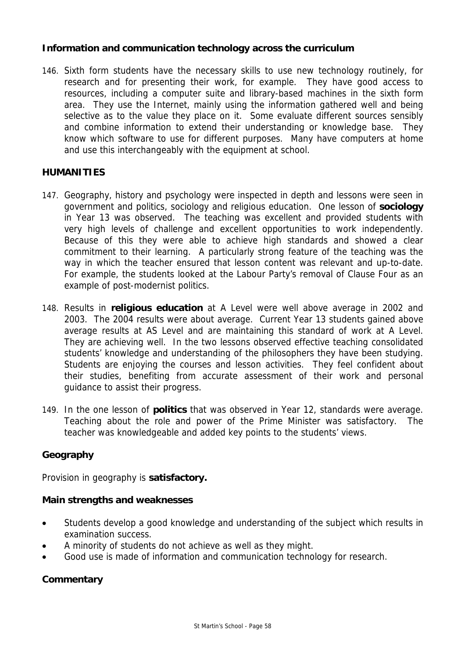# **Information and communication technology across the curriculum**

146. Sixth form students have the necessary skills to use new technology routinely, for research and for presenting their work, for example. They have good access to resources, including a computer suite and library-based machines in the sixth form area. They use the Internet, mainly using the information gathered well and being selective as to the value they place on it. Some evaluate different sources sensibly and combine information to extend their understanding or knowledge base. They know which software to use for different purposes. Many have computers at home and use this interchangeably with the equipment at school.

# **HUMANITIES**

- 147. Geography, history and psychology were inspected in depth and lessons were seen in government and politics, sociology and religious education. One lesson of **sociology** in Year 13 was observed. The teaching was excellent and provided students with very high levels of challenge and excellent opportunities to work independently. Because of this they were able to achieve high standards and showed a clear commitment to their learning. A particularly strong feature of the teaching was the way in which the teacher ensured that lesson content was relevant and up-to-date. For example, the students looked at the Labour Party's removal of Clause Four as an example of post-modernist politics.
- 148. Results in **religious education** at A Level were well above average in 2002 and 2003. The 2004 results were about average. Current Year 13 students gained above average results at AS Level and are maintaining this standard of work at A Level. They are achieving well. In the two lessons observed effective teaching consolidated students' knowledge and understanding of the philosophers they have been studying. Students are enjoying the courses and lesson activities. They feel confident about their studies, benefiting from accurate assessment of their work and personal guidance to assist their progress.
- 149. In the one lesson of **politics** that was observed in Year 12, standards were average. Teaching about the role and power of the Prime Minister was satisfactory. The teacher was knowledgeable and added key points to the students' views.

# **Geography**

Provision in geography is **satisfactory.**

# **Main strengths and weaknesses**

- Students develop a good knowledge and understanding of the subject which results in examination success.
- A minority of students do not achieve as well as they might.
- Good use is made of information and communication technology for research.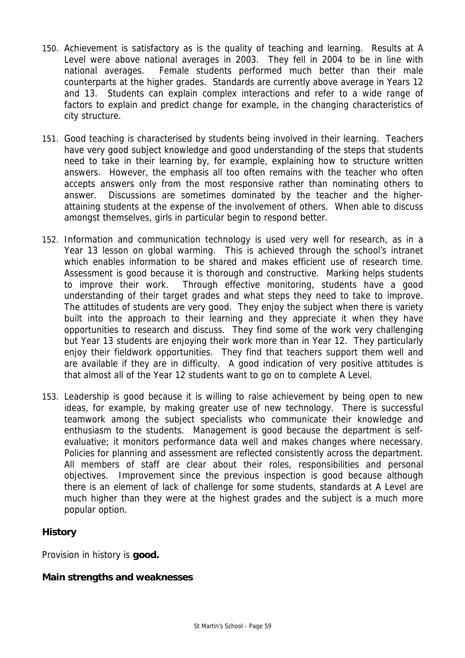- 150. Achievement is satisfactory as is the quality of teaching and learning. Results at A Level were above national averages in 2003. They fell in 2004 to be in line with national averages. Female students performed much better than their male counterparts at the higher grades. Standards are currently above average in Years 12 and 13. Students can explain complex interactions and refer to a wide range of factors to explain and predict change for example, in the changing characteristics of city structure.
- 151. Good teaching is characterised by students being involved in their learning. Teachers have very good subject knowledge and good understanding of the steps that students need to take in their learning by, for example, explaining how to structure written answers. However, the emphasis all too often remains with the teacher who often accepts answers only from the most responsive rather than nominating others to answer. Discussions are sometimes dominated by the teacher and the higherattaining students at the expense of the involvement of others. When able to discuss amongst themselves, girls in particular begin to respond better.
- 152. Information and communication technology is used very well for research, as in a Year 13 lesson on global warming. This is achieved through the school's intranet which enables information to be shared and makes efficient use of research time. Assessment is good because it is thorough and constructive. Marking helps students to improve their work. Through effective monitoring, students have a good understanding of their target grades and what steps they need to take to improve. The attitudes of students are very good. They enjoy the subject when there is variety built into the approach to their learning and they appreciate it when they have opportunities to research and discuss. They find some of the work very challenging but Year 13 students are enjoying their work more than in Year 12. They particularly enjoy their fieldwork opportunities. They find that teachers support them well and are available if they are in difficulty. A good indication of very positive attitudes is that almost all of the Year 12 students want to go on to complete A Level.
- 153. Leadership is good because it is willing to raise achievement by being open to new ideas, for example, by making greater use of new technology. There is successful teamwork among the subject specialists who communicate their knowledge and enthusiasm to the students. Management is good because the department is selfevaluative; it monitors performance data well and makes changes where necessary. Policies for planning and assessment are reflected consistently across the department. All members of staff are clear about their roles, responsibilities and personal objectives. Improvement since the previous inspection is good because although there is an element of lack of challenge for some students, standards at A Level are much higher than they were at the highest grades and the subject is a much more popular option.

# **History**

Provision in history is **good.**

# **Main strengths and weaknesses**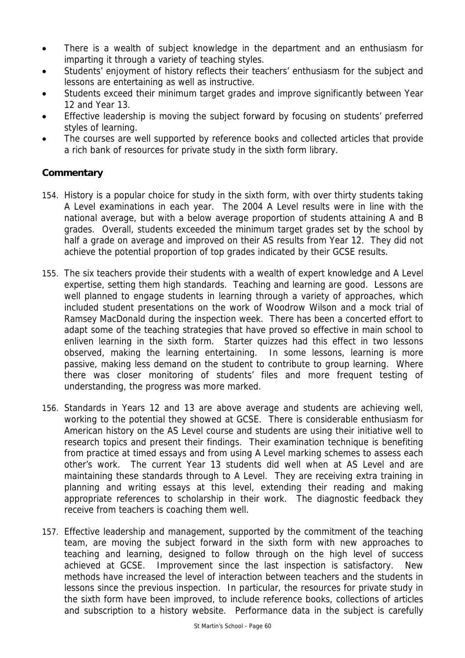- There is a wealth of subject knowledge in the department and an enthusiasm for imparting it through a variety of teaching styles.
- Students' enjoyment of history reflects their teachers' enthusiasm for the subject and lessons are entertaining as well as instructive.
- Students exceed their minimum target grades and improve significantly between Year 12 and Year 13.
- Effective leadership is moving the subject forward by focusing on students' preferred styles of learning.
- The courses are well supported by reference books and collected articles that provide a rich bank of resources for private study in the sixth form library.

- 154. History is a popular choice for study in the sixth form, with over thirty students taking A Level examinations in each year. The 2004 A Level results were in line with the national average, but with a below average proportion of students attaining A and B grades. Overall, students exceeded the minimum target grades set by the school by half a grade on average and improved on their AS results from Year 12. They did not achieve the potential proportion of top grades indicated by their GCSE results.
- 155. The six teachers provide their students with a wealth of expert knowledge and A Level expertise, setting them high standards. Teaching and learning are good. Lessons are well planned to engage students in learning through a variety of approaches, which included student presentations on the work of Woodrow Wilson and a mock trial of Ramsey MacDonald during the inspection week. There has been a concerted effort to adapt some of the teaching strategies that have proved so effective in main school to enliven learning in the sixth form. Starter quizzes had this effect in two lessons observed, making the learning entertaining. In some lessons, learning is more passive, making less demand on the student to contribute to group learning. Where there was closer monitoring of students' files and more frequent testing of understanding, the progress was more marked.
- 156. Standards in Years 12 and 13 are above average and students are achieving well, working to the potential they showed at GCSE. There is considerable enthusiasm for American history on the AS Level course and students are using their initiative well to research topics and present their findings. Their examination technique is benefiting from practice at timed essays and from using A Level marking schemes to assess each other's work. The current Year 13 students did well when at AS Level and are maintaining these standards through to A Level. They are receiving extra training in planning and writing essays at this level, extending their reading and making appropriate references to scholarship in their work. The diagnostic feedback they receive from teachers is coaching them well.
- 157. Effective leadership and management, supported by the commitment of the teaching team, are moving the subject forward in the sixth form with new approaches to teaching and learning, designed to follow through on the high level of success achieved at GCSE. Improvement since the last inspection is satisfactory. New methods have increased the level of interaction between teachers and the students in lessons since the previous inspection. In particular, the resources for private study in the sixth form have been improved, to include reference books, collections of articles and subscription to a history website. Performance data in the subject is carefully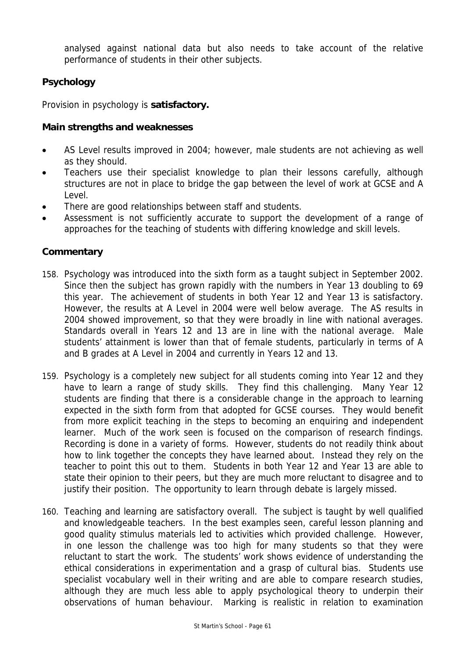analysed against national data but also needs to take account of the relative performance of students in their other subjects.

# **Psychology**

Provision in psychology is **satisfactory.**

# **Main strengths and weaknesses**

- AS Level results improved in 2004; however, male students are not achieving as well as they should.
- Teachers use their specialist knowledge to plan their lessons carefully, although structures are not in place to bridge the gap between the level of work at GCSE and A Level.
- There are good relationships between staff and students.
- Assessment is not sufficiently accurate to support the development of a range of approaches for the teaching of students with differing knowledge and skill levels.

- 158. Psychology was introduced into the sixth form as a taught subject in September 2002. Since then the subject has grown rapidly with the numbers in Year 13 doubling to 69 this year. The achievement of students in both Year 12 and Year 13 is satisfactory. However, the results at A Level in 2004 were well below average. The AS results in 2004 showed improvement, so that they were broadly in line with national averages. Standards overall in Years 12 and 13 are in line with the national average. Male students' attainment is lower than that of female students, particularly in terms of A and B grades at A Level in 2004 and currently in Years 12 and 13.
- 159. Psychology is a completely new subject for all students coming into Year 12 and they have to learn a range of study skills. They find this challenging. Many Year 12 students are finding that there is a considerable change in the approach to learning expected in the sixth form from that adopted for GCSE courses. They would benefit from more explicit teaching in the steps to becoming an enquiring and independent learner. Much of the work seen is focused on the comparison of research findings. Recording is done in a variety of forms. However, students do not readily think about how to link together the concepts they have learned about. Instead they rely on the teacher to point this out to them. Students in both Year 12 and Year 13 are able to state their opinion to their peers, but they are much more reluctant to disagree and to justify their position. The opportunity to learn through debate is largely missed.
- 160. Teaching and learning are satisfactory overall. The subject is taught by well qualified and knowledgeable teachers. In the best examples seen, careful lesson planning and good quality stimulus materials led to activities which provided challenge. However, in one lesson the challenge was too high for many students so that they were reluctant to start the work. The students' work shows evidence of understanding the ethical considerations in experimentation and a grasp of cultural bias. Students use specialist vocabulary well in their writing and are able to compare research studies, although they are much less able to apply psychological theory to underpin their observations of human behaviour. Marking is realistic in relation to examination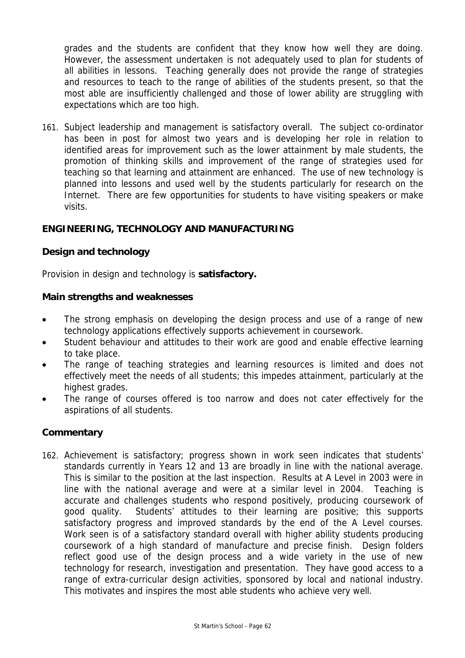grades and the students are confident that they know how well they are doing. However, the assessment undertaken is not adequately used to plan for students of all abilities in lessons. Teaching generally does not provide the range of strategies and resources to teach to the range of abilities of the students present, so that the most able are insufficiently challenged and those of lower ability are struggling with expectations which are too high.

161. Subject leadership and management is satisfactory overall. The subject co-ordinator has been in post for almost two years and is developing her role in relation to identified areas for improvement such as the lower attainment by male students, the promotion of thinking skills and improvement of the range of strategies used for teaching so that learning and attainment are enhanced. The use of new technology is planned into lessons and used well by the students particularly for research on the Internet. There are few opportunities for students to have visiting speakers or make visits.

# **ENGINEERING, TECHNOLOGY AND MANUFACTURING**

# **Design and technology**

Provision in design and technology is **satisfactory.**

#### **Main strengths and weaknesses**

- The strong emphasis on developing the design process and use of a range of new technology applications effectively supports achievement in coursework.
- Student behaviour and attitudes to their work are good and enable effective learning to take place.
- The range of teaching strategies and learning resources is limited and does not effectively meet the needs of all students; this impedes attainment, particularly at the highest grades.
- The range of courses offered is too narrow and does not cater effectively for the aspirations of all students.

# **Commentary**

162. Achievement is satisfactory; progress shown in work seen indicates that students' standards currently in Years 12 and 13 are broadly in line with the national average. This is similar to the position at the last inspection. Results at A Level in 2003 were in line with the national average and were at a similar level in 2004. Teaching is accurate and challenges students who respond positively, producing coursework of good quality. Students' attitudes to their learning are positive; this supports satisfactory progress and improved standards by the end of the A Level courses. Work seen is of a satisfactory standard overall with higher ability students producing coursework of a high standard of manufacture and precise finish. Design folders reflect good use of the design process and a wide variety in the use of new technology for research, investigation and presentation. They have good access to a range of extra-curricular design activities, sponsored by local and national industry. This motivates and inspires the most able students who achieve very well.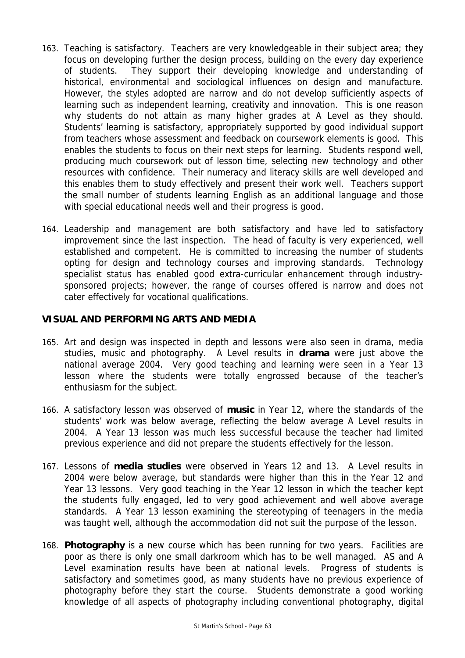- 163. Teaching is satisfactory. Teachers are very knowledgeable in their subject area; they focus on developing further the design process, building on the every day experience of students. They support their developing knowledge and understanding of historical, environmental and sociological influences on design and manufacture. However, the styles adopted are narrow and do not develop sufficiently aspects of learning such as independent learning, creativity and innovation. This is one reason why students do not attain as many higher grades at A Level as they should. Students' learning is satisfactory, appropriately supported by good individual support from teachers whose assessment and feedback on coursework elements is good. This enables the students to focus on their next steps for learning. Students respond well, producing much coursework out of lesson time, selecting new technology and other resources with confidence. Their numeracy and literacy skills are well developed and this enables them to study effectively and present their work well. Teachers support the small number of students learning English as an additional language and those with special educational needs well and their progress is good.
- 164. Leadership and management are both satisfactory and have led to satisfactory improvement since the last inspection. The head of faculty is very experienced, well established and competent. He is committed to increasing the number of students opting for design and technology courses and improving standards. Technology specialist status has enabled good extra-curricular enhancement through industrysponsored projects; however, the range of courses offered is narrow and does not cater effectively for vocational qualifications.

# **VISUAL AND PERFORMING ARTS AND MEDIA**

- 165. Art and design was inspected in depth and lessons were also seen in drama, media studies, music and photography. A Level results in **drama** were just above the national average 2004. Very good teaching and learning were seen in a Year 13 lesson where the students were totally engrossed because of the teacher's enthusiasm for the subject.
- 166. A satisfactory lesson was observed of **music** in Year 12, where the standards of the students' work was below average, reflecting the below average A Level results in 2004. A Year 13 lesson was much less successful because the teacher had limited previous experience and did not prepare the students effectively for the lesson.
- 167. Lessons of **media studies** were observed in Years 12 and 13. A Level results in 2004 were below average, but standards were higher than this in the Year 12 and Year 13 lessons. Very good teaching in the Year 12 lesson in which the teacher kept the students fully engaged, led to very good achievement and well above average standards. A Year 13 lesson examining the stereotyping of teenagers in the media was taught well, although the accommodation did not suit the purpose of the lesson.
- 168. **Photography** is a new course which has been running for two years. Facilities are poor as there is only one small darkroom which has to be well managed. AS and A Level examination results have been at national levels. Progress of students is satisfactory and sometimes good, as many students have no previous experience of photography before they start the course. Students demonstrate a good working knowledge of all aspects of photography including conventional photography, digital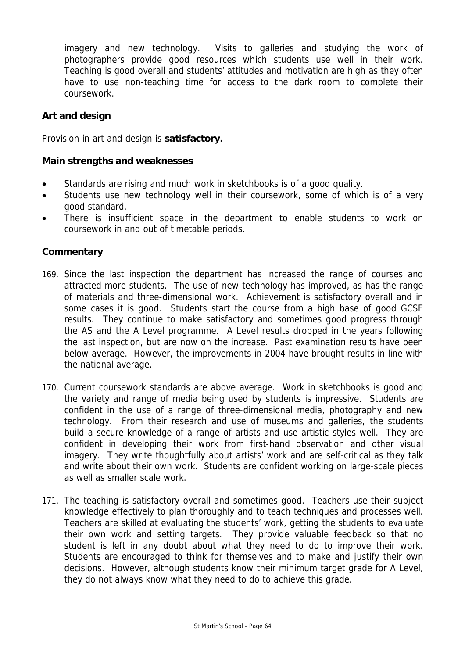imagery and new technology. Visits to galleries and studying the work of photographers provide good resources which students use well in their work. Teaching is good overall and students' attitudes and motivation are high as they often have to use non-teaching time for access to the dark room to complete their coursework.

# **Art and design**

Provision in art and design is **satisfactory.**

# **Main strengths and weaknesses**

- Standards are rising and much work in sketchbooks is of a good quality.
- Students use new technology well in their coursework, some of which is of a very good standard.
- There is insufficient space in the department to enable students to work on coursework in and out of timetable periods.

- 169. Since the last inspection the department has increased the range of courses and attracted more students. The use of new technology has improved, as has the range of materials and three-dimensional work. Achievement is satisfactory overall and in some cases it is good. Students start the course from a high base of good GCSE results. They continue to make satisfactory and sometimes good progress through the AS and the A Level programme. A Level results dropped in the years following the last inspection, but are now on the increase. Past examination results have been below average. However, the improvements in 2004 have brought results in line with the national average.
- 170. Current coursework standards are above average. Work in sketchbooks is good and the variety and range of media being used by students is impressive. Students are confident in the use of a range of three-dimensional media, photography and new technology. From their research and use of museums and galleries, the students build a secure knowledge of a range of artists and use artistic styles well. They are confident in developing their work from first-hand observation and other visual imagery. They write thoughtfully about artists' work and are self-critical as they talk and write about their own work. Students are confident working on large-scale pieces as well as smaller scale work.
- 171. The teaching is satisfactory overall and sometimes good. Teachers use their subject knowledge effectively to plan thoroughly and to teach techniques and processes well. Teachers are skilled at evaluating the students' work, getting the students to evaluate their own work and setting targets. They provide valuable feedback so that no student is left in any doubt about what they need to do to improve their work. Students are encouraged to think for themselves and to make and justify their own decisions. However, although students know their minimum target grade for A Level, they do not always know what they need to do to achieve this grade.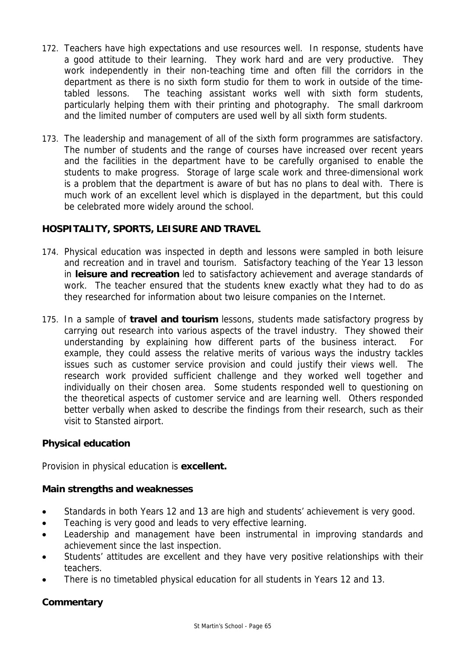- 172. Teachers have high expectations and use resources well. In response, students have a good attitude to their learning. They work hard and are very productive. They work independently in their non-teaching time and often fill the corridors in the department as there is no sixth form studio for them to work in outside of the timetabled lessons. The teaching assistant works well with sixth form students, particularly helping them with their printing and photography. The small darkroom and the limited number of computers are used well by all sixth form students.
- 173. The leadership and management of all of the sixth form programmes are satisfactory. The number of students and the range of courses have increased over recent years and the facilities in the department have to be carefully organised to enable the students to make progress. Storage of large scale work and three-dimensional work is a problem that the department is aware of but has no plans to deal with. There is much work of an excellent level which is displayed in the department, but this could be celebrated more widely around the school.

# **HOSPITALITY, SPORTS, LEISURE AND TRAVEL**

- 174. Physical education was inspected in depth and lessons were sampled in both leisure and recreation and in travel and tourism. Satisfactory teaching of the Year 13 lesson in **leisure and recreation** led to satisfactory achievement and average standards of work. The teacher ensured that the students knew exactly what they had to do as they researched for information about two leisure companies on the Internet.
- 175. In a sample of **travel and tourism** lessons, students made satisfactory progress by carrying out research into various aspects of the travel industry. They showed their understanding by explaining how different parts of the business interact. For example, they could assess the relative merits of various ways the industry tackles issues such as customer service provision and could justify their views well. The research work provided sufficient challenge and they worked well together and individually on their chosen area. Some students responded well to questioning on the theoretical aspects of customer service and are learning well. Others responded better verbally when asked to describe the findings from their research, such as their visit to Stansted airport.

# **Physical education**

Provision in physical education is **excellent.**

# **Main strengths and weaknesses**

- Standards in both Years 12 and 13 are high and students' achievement is very good.
- Teaching is very good and leads to very effective learning.
- Leadership and management have been instrumental in improving standards and achievement since the last inspection.
- Students' attitudes are excellent and they have very positive relationships with their teachers.
- There is no timetabled physical education for all students in Years 12 and 13.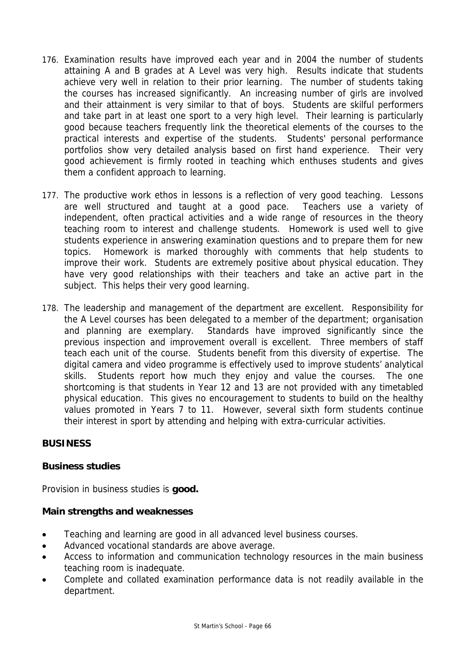- 176. Examination results have improved each year and in 2004 the number of students attaining A and B grades at A Level was very high. Results indicate that students achieve very well in relation to their prior learning. The number of students taking the courses has increased significantly. An increasing number of girls are involved and their attainment is very similar to that of boys. Students are skilful performers and take part in at least one sport to a very high level. Their learning is particularly good because teachers frequently link the theoretical elements of the courses to the practical interests and expertise of the students. Students' personal performance portfolios show very detailed analysis based on first hand experience. Their very good achievement is firmly rooted in teaching which enthuses students and gives them a confident approach to learning.
- 177. The productive work ethos in lessons is a reflection of very good teaching. Lessons are well structured and taught at a good pace. Teachers use a variety of independent, often practical activities and a wide range of resources in the theory teaching room to interest and challenge students. Homework is used well to give students experience in answering examination questions and to prepare them for new topics. Homework is marked thoroughly with comments that help students to improve their work. Students are extremely positive about physical education. They have very good relationships with their teachers and take an active part in the subject. This helps their very good learning.
- 178. The leadership and management of the department are excellent. Responsibility for the A Level courses has been delegated to a member of the department; organisation and planning are exemplary. Standards have improved significantly since the previous inspection and improvement overall is excellent. Three members of staff teach each unit of the course. Students benefit from this diversity of expertise. The digital camera and video programme is effectively used to improve students' analytical skills. Students report how much they enjoy and value the courses. The one shortcoming is that students in Year 12 and 13 are not provided with any timetabled physical education. This gives no encouragement to students to build on the healthy values promoted in Years 7 to 11. However, several sixth form students continue their interest in sport by attending and helping with extra-curricular activities.

# **BUSINESS**

# **Business studies**

Provision in business studies is **good.**

#### **Main strengths and weaknesses**

- Teaching and learning are good in all advanced level business courses.
- Advanced vocational standards are above average.
- Access to information and communication technology resources in the main business teaching room is inadequate.
- Complete and collated examination performance data is not readily available in the department.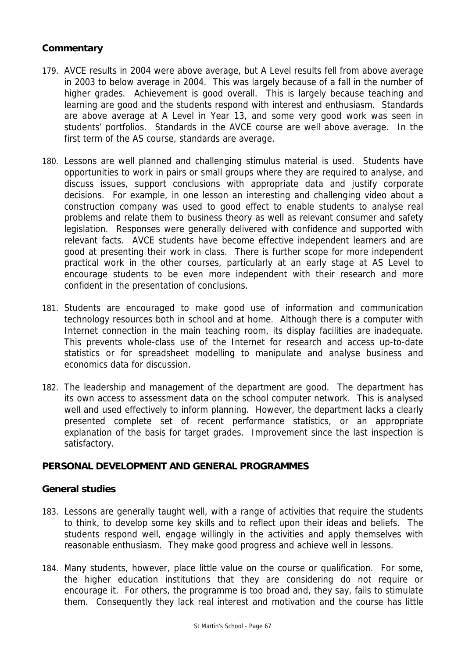# **Commentary**

- 179. AVCE results in 2004 were above average, but A Level results fell from above average in 2003 to below average in 2004. This was largely because of a fall in the number of higher grades. Achievement is good overall. This is largely because teaching and learning are good and the students respond with interest and enthusiasm. Standards are above average at A Level in Year 13, and some very good work was seen in students' portfolios. Standards in the AVCE course are well above average. In the first term of the AS course, standards are average.
- 180. Lessons are well planned and challenging stimulus material is used. Students have opportunities to work in pairs or small groups where they are required to analyse, and discuss issues, support conclusions with appropriate data and justify corporate decisions. For example, in one lesson an interesting and challenging video about a construction company was used to good effect to enable students to analyse real problems and relate them to business theory as well as relevant consumer and safety legislation. Responses were generally delivered with confidence and supported with relevant facts. AVCE students have become effective independent learners and are good at presenting their work in class. There is further scope for more independent practical work in the other courses, particularly at an early stage at AS Level to encourage students to be even more independent with their research and more confident in the presentation of conclusions.
- 181. Students are encouraged to make good use of information and communication technology resources both in school and at home. Although there is a computer with Internet connection in the main teaching room, its display facilities are inadequate. This prevents whole-class use of the Internet for research and access up-to-date statistics or for spreadsheet modelling to manipulate and analyse business and economics data for discussion.
- 182. The leadership and management of the department are good. The department has its own access to assessment data on the school computer network. This is analysed well and used effectively to inform planning. However, the department lacks a clearly presented complete set of recent performance statistics, or an appropriate explanation of the basis for target grades. Improvement since the last inspection is satisfactory.

# **PERSONAL DEVELOPMENT AND GENERAL PROGRAMMES**

#### **General studies**

- 183. Lessons are generally taught well, with a range of activities that require the students to think, to develop some key skills and to reflect upon their ideas and beliefs. The students respond well, engage willingly in the activities and apply themselves with reasonable enthusiasm. They make good progress and achieve well in lessons.
- 184. Many students, however, place little value on the course or qualification. For some, the higher education institutions that they are considering do not require or encourage it. For others, the programme is too broad and, they say, fails to stimulate them. Consequently they lack real interest and motivation and the course has little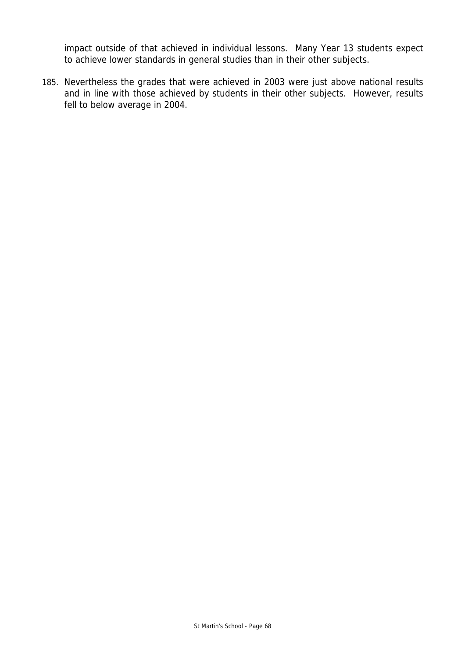impact outside of that achieved in individual lessons. Many Year 13 students expect to achieve lower standards in general studies than in their other subjects.

185. Nevertheless the grades that were achieved in 2003 were just above national results and in line with those achieved by students in their other subjects. However, results fell to below average in 2004.